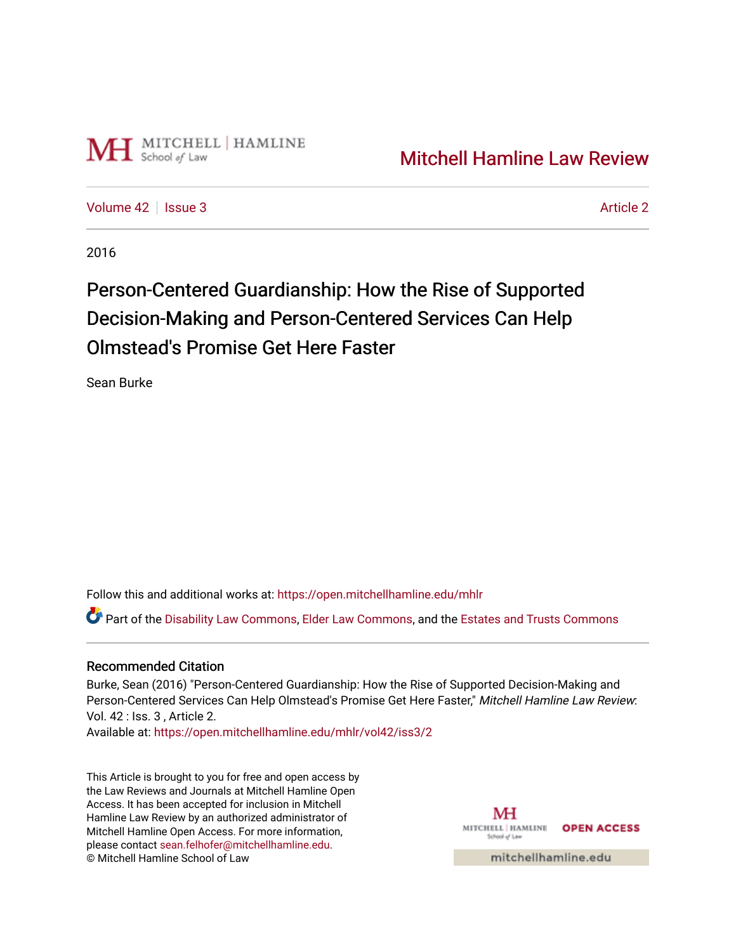

[Volume 42](https://open.mitchellhamline.edu/mhlr/vol42) | [Issue 3](https://open.mitchellhamline.edu/mhlr/vol42/iss3) [Article 2](https://open.mitchellhamline.edu/mhlr/vol42/iss3/2) Article 2 Article 2 Article 2 Article 2 Article 2 Article 2 Article 2 Article 2

2016

# Person-Centered Guardianship: How the Rise of Supported Decision-Making and Person-Centered Services Can Help Olmstead's Promise Get Here Faster

Sean Burke

Follow this and additional works at: [https://open.mitchellhamline.edu/mhlr](https://open.mitchellhamline.edu/mhlr?utm_source=open.mitchellhamline.edu%2Fmhlr%2Fvol42%2Fiss3%2F2&utm_medium=PDF&utm_campaign=PDFCoverPages) 

Part of the [Disability Law Commons](http://network.bepress.com/hgg/discipline/1074?utm_source=open.mitchellhamline.edu%2Fmhlr%2Fvol42%2Fiss3%2F2&utm_medium=PDF&utm_campaign=PDFCoverPages), [Elder Law Commons](http://network.bepress.com/hgg/discipline/842?utm_source=open.mitchellhamline.edu%2Fmhlr%2Fvol42%2Fiss3%2F2&utm_medium=PDF&utm_campaign=PDFCoverPages), and the [Estates and Trusts Commons](http://network.bepress.com/hgg/discipline/906?utm_source=open.mitchellhamline.edu%2Fmhlr%2Fvol42%2Fiss3%2F2&utm_medium=PDF&utm_campaign=PDFCoverPages) 

## Recommended Citation

Burke, Sean (2016) "Person-Centered Guardianship: How the Rise of Supported Decision-Making and Person-Centered Services Can Help Olmstead's Promise Get Here Faster," Mitchell Hamline Law Review: Vol. 42 : Iss. 3 , Article 2.

Available at: [https://open.mitchellhamline.edu/mhlr/vol42/iss3/2](https://open.mitchellhamline.edu/mhlr/vol42/iss3/2?utm_source=open.mitchellhamline.edu%2Fmhlr%2Fvol42%2Fiss3%2F2&utm_medium=PDF&utm_campaign=PDFCoverPages) 

This Article is brought to you for free and open access by the Law Reviews and Journals at Mitchell Hamline Open Access. It has been accepted for inclusion in Mitchell Hamline Law Review by an authorized administrator of Mitchell Hamline Open Access. For more information, please contact [sean.felhofer@mitchellhamline.edu.](mailto:sean.felhofer@mitchellhamline.edu) © Mitchell Hamline School of Law

MH MITCHELL HAMLINE OPEN ACCESS School of La

mitchellhamline.edu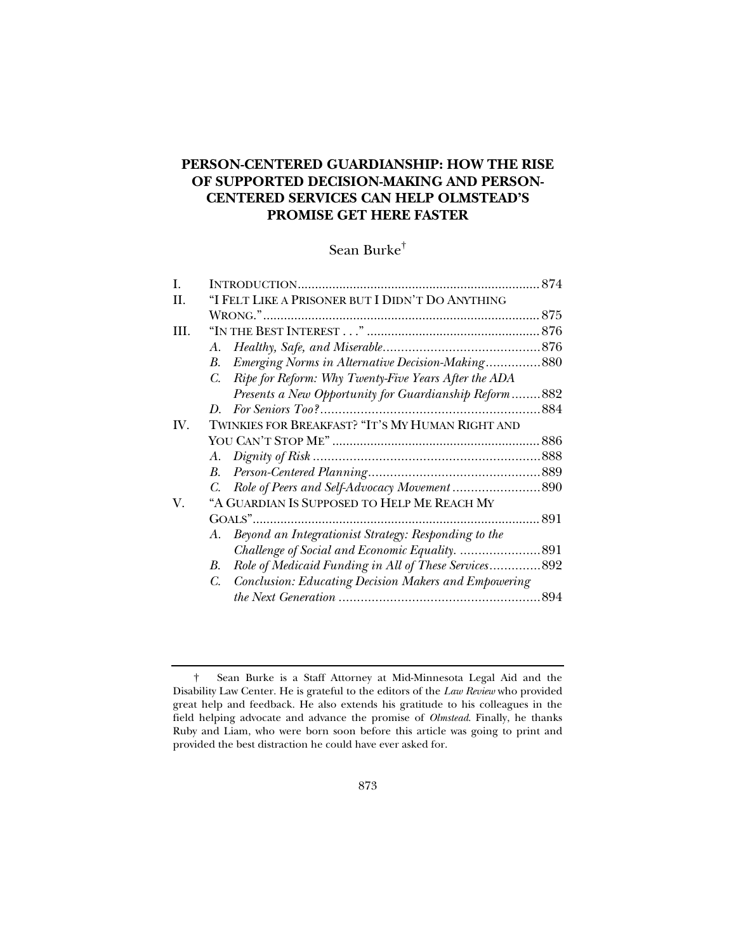# **PERSON-CENTERED GUARDIANSHIP: HOW THE RISE OF SUPPORTED DECISION-MAKING AND PERSON-CENTERED SERVICES CAN HELP OLMSTEAD'S PROMISE GET HERE FASTER**

# Sean Burke†

| I.   |                                                                     |  |
|------|---------------------------------------------------------------------|--|
| H.   | "I FELT LIKE A PRISONER BUT I DIDN'T DO ANYTHING                    |  |
|      |                                                                     |  |
| III. |                                                                     |  |
|      | A.                                                                  |  |
|      | Emerging Norms in Alternative Decision-Making880<br>В.              |  |
|      | Ripe for Reform: Why Twenty-Five Years After the ADA<br>$C_{\cdot}$ |  |
|      | Presents a New Opportunity for Guardianship Reform882               |  |
|      |                                                                     |  |
| IV.  | TWINKIES FOR BREAKFAST? "IT'S MY HUMAN RIGHT AND                    |  |
|      |                                                                     |  |
|      |                                                                     |  |
|      |                                                                     |  |
|      |                                                                     |  |
| V.   | "A GUARDIAN IS SUPPOSED TO HELP ME REACH MY                         |  |
|      |                                                                     |  |
|      | Beyond an Integrationist Strategy: Responding to the<br>A.          |  |
|      |                                                                     |  |
|      | Role of Medicaid Funding in All of These Services892<br>B.          |  |
|      | Conclusion: Educating Decision Makers and Empowering<br>$C_{\cdot}$ |  |
|      |                                                                     |  |

 <sup>†</sup> Sean Burke is a Staff Attorney at Mid-Minnesota Legal Aid and the Disability Law Center. He is grateful to the editors of the *Law Review* who provided great help and feedback. He also extends his gratitude to his colleagues in the field helping advocate and advance the promise of *Olmstead*. Finally, he thanks Ruby and Liam, who were born soon before this article was going to print and provided the best distraction he could have ever asked for.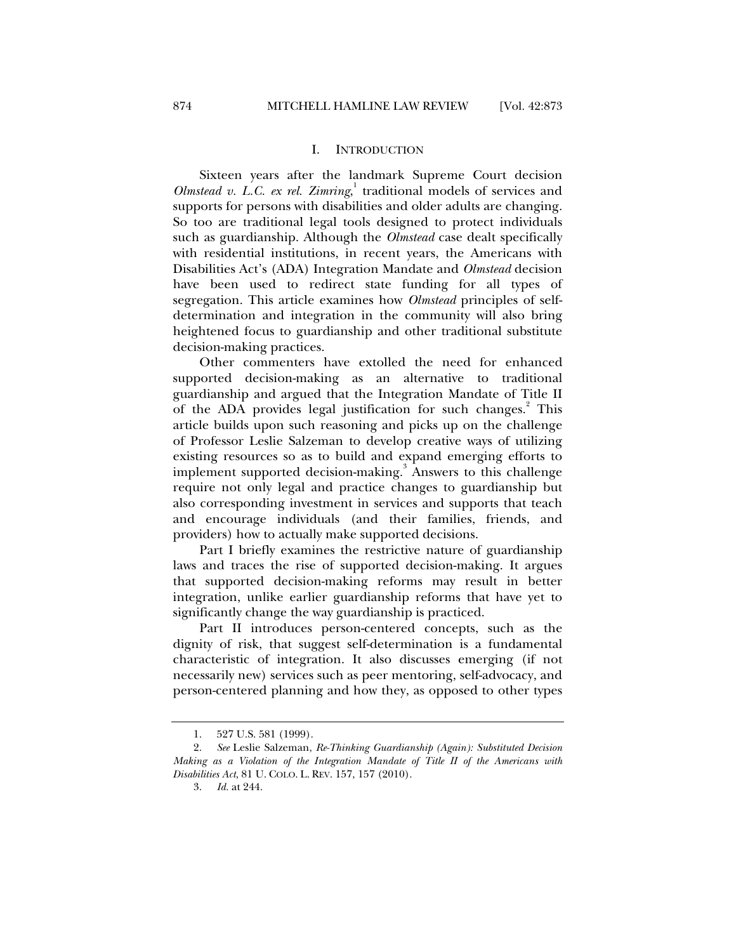#### I. INTRODUCTION

Sixteen years after the landmark Supreme Court decision *Olmstead v. L.C. ex rel. Zimring*, 1 traditional models of services and supports for persons with disabilities and older adults are changing. So too are traditional legal tools designed to protect individuals such as guardianship. Although the *Olmstead* case dealt specifically with residential institutions, in recent years, the Americans with Disabilities Act's (ADA) Integration Mandate and *Olmstead* decision have been used to redirect state funding for all types of segregation. This article examines how *Olmstead* principles of selfdetermination and integration in the community will also bring heightened focus to guardianship and other traditional substitute decision-making practices.

Other commenters have extolled the need for enhanced supported decision-making as an alternative to traditional guardianship and argued that the Integration Mandate of Title II of the ADA provides legal justification for such changes.<sup>2</sup> This article builds upon such reasoning and picks up on the challenge of Professor Leslie Salzeman to develop creative ways of utilizing existing resources so as to build and expand emerging efforts to implement supported decision-making.<sup>3</sup> Answers to this challenge require not only legal and practice changes to guardianship but also corresponding investment in services and supports that teach and encourage individuals (and their families, friends, and providers) how to actually make supported decisions.

Part I briefly examines the restrictive nature of guardianship laws and traces the rise of supported decision-making. It argues that supported decision-making reforms may result in better integration, unlike earlier guardianship reforms that have yet to significantly change the way guardianship is practiced.

Part II introduces person-centered concepts, such as the dignity of risk, that suggest self-determination is a fundamental characteristic of integration. It also discusses emerging (if not necessarily new) services such as peer mentoring, self-advocacy, and person-centered planning and how they, as opposed to other types

 <sup>1. 527</sup> U.S. 581 (1999).

 <sup>2.</sup> *See* Leslie Salzeman, *Re-Thinking Guardianship (Again): Substituted Decision Making as a Violation of the Integration Mandate of Title II of the Americans with Disabilities Act*, 81 U. COLO. L. REV. 157, 157 (2010).

 <sup>3.</sup> *Id.* at 244.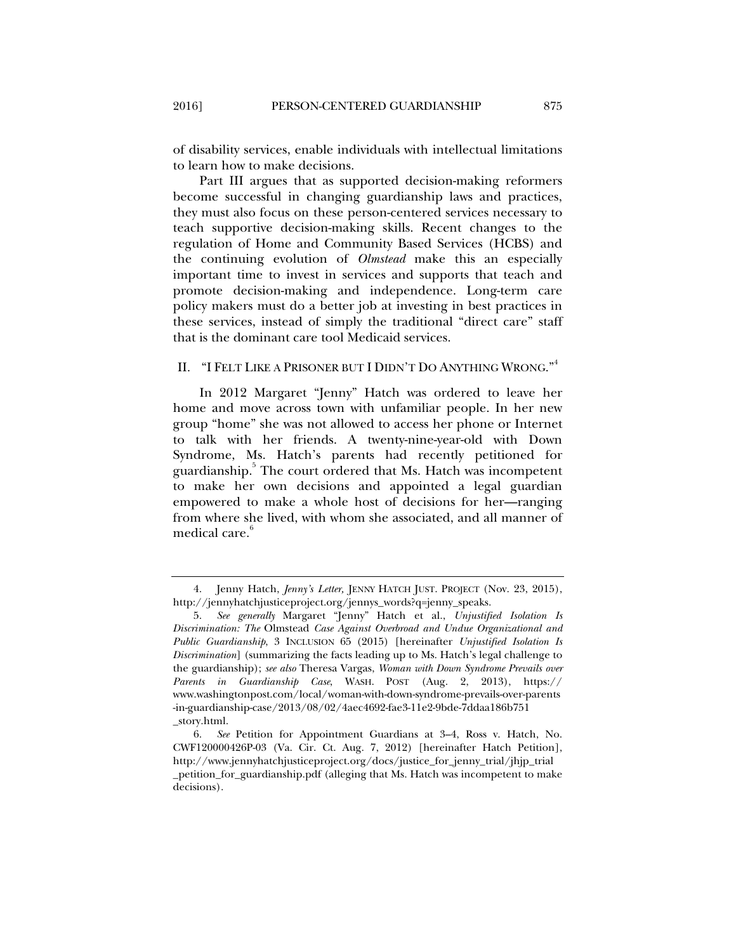of disability services, enable individuals with intellectual limitations to learn how to make decisions.

Part III argues that as supported decision-making reformers become successful in changing guardianship laws and practices, they must also focus on these person-centered services necessary to teach supportive decision-making skills. Recent changes to the regulation of Home and Community Based Services (HCBS) and the continuing evolution of *Olmstead* make this an especially important time to invest in services and supports that teach and promote decision-making and independence. Long-term care policy makers must do a better job at investing in best practices in these services, instead of simply the traditional "direct care" staff that is the dominant care tool Medicaid services.

#### II. "I FELT LIKE A PRISONER BUT I DIDN'T DO ANYTHING WRONG."<sup>4</sup>

In 2012 Margaret "Jenny" Hatch was ordered to leave her home and move across town with unfamiliar people. In her new group "home" she was not allowed to access her phone or Internet to talk with her friends. A twenty-nine-year-old with Down Syndrome, Ms. Hatch's parents had recently petitioned for guardianship.<sup>5</sup> The court ordered that Ms. Hatch was incompetent to make her own decisions and appointed a legal guardian empowered to make a whole host of decisions for her—ranging from where she lived, with whom she associated, and all manner of medical care.<sup>6</sup>

 <sup>4.</sup> Jenny Hatch, *Jenny's Letter,* JENNY HATCH JUST. PROJECT (Nov. 23, 2015), http://jennyhatchjusticeproject.org/jennys\_words?q=jenny\_speaks.

 <sup>5.</sup> *See generally* Margaret "Jenny" Hatch et al., *Unjustified Isolation Is Discrimination: The* Olmstead *Case Against Overbroad and Undue Organizational and Public Guardianship*, 3 INCLUSION 65 (2015) [hereinafter *Unjustified Isolation Is Discrimination*] (summarizing the facts leading up to Ms. Hatch's legal challenge to the guardianship); *see also* Theresa Vargas, *Woman with Down Syndrome Prevails over Parents in Guardianship Case*, WASH. POST (Aug. 2, 2013), https:// www.washingtonpost.com/local/woman-with-down-syndrome-prevails-over-parents -in-guardianship-case/2013/08/02/4aec4692-fae3-11e2-9bde-7ddaa186b751 \_story.html.

 <sup>6.</sup> *See* Petition for Appointment Guardians at 3–4, Ross v. Hatch, No. CWF120000426P-03 (Va. Cir. Ct. Aug. 7, 2012) [hereinafter Hatch Petition], http://www.jennyhatchjusticeproject.org/docs/justice\_for\_jenny\_trial/jhjp\_trial \_petition\_for\_guardianship.pdf (alleging that Ms. Hatch was incompetent to make decisions).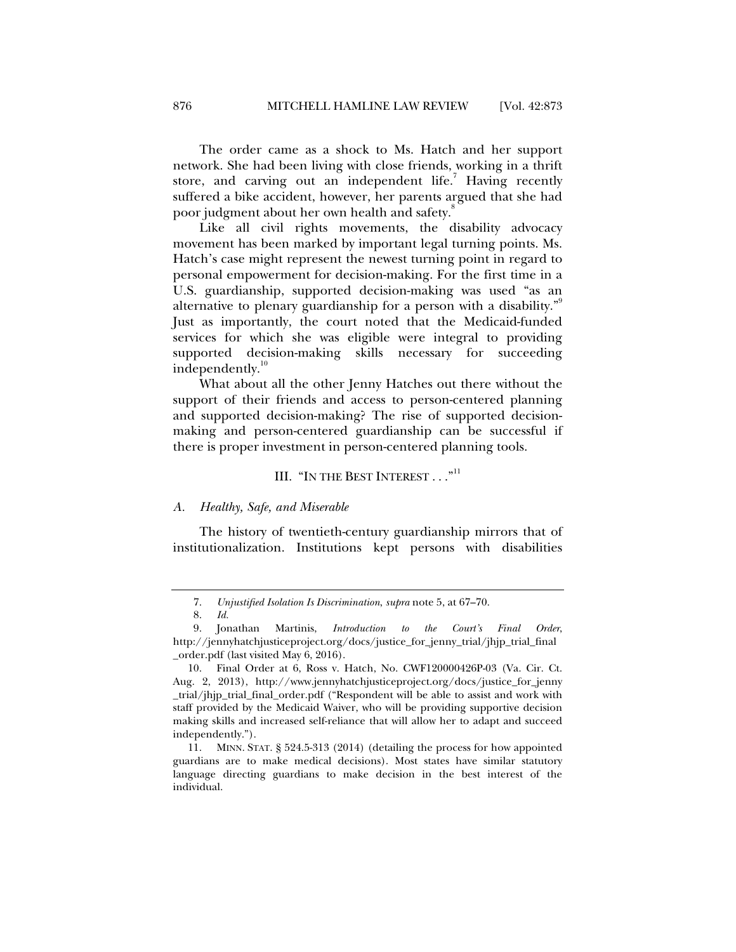The order came as a shock to Ms. Hatch and her support network. She had been living with close friends, working in a thrift store, and carving out an independent life.<sup>7</sup> Having recently suffered a bike accident, however, her parents argued that she had poor judgment about her own health and safety.

Like all civil rights movements, the disability advocacy movement has been marked by important legal turning points. Ms. Hatch's case might represent the newest turning point in regard to personal empowerment for decision-making. For the first time in a U.S. guardianship, supported decision-making was used "as an alternative to plenary guardianship for a person with a disability."<sup>9</sup> Just as importantly, the court noted that the Medicaid-funded services for which she was eligible were integral to providing supported decision-making skills necessary for succeeding independently.<sup>10</sup>

What about all the other Jenny Hatches out there without the support of their friends and access to person-centered planning and supported decision-making? The rise of supported decisionmaking and person-centered guardianship can be successful if there is proper investment in person-centered planning tools.

#### III. "IN THE BEST INTEREST..."<sup>11</sup>

#### *A. Healthy, Safe, and Miserable*

The history of twentieth-century guardianship mirrors that of institutionalization. Institutions kept persons with disabilities

 <sup>7.</sup> *Unjustified Isolation Is Discrimination*, *supra* note 5, at 67–70.

 <sup>8.</sup> *Id.*

 <sup>9.</sup> Jonathan Martinis, *Introduction to the Court's Final Order*, http://jennyhatchjusticeproject.org/docs/justice\_for\_jenny\_trial/jhjp\_trial\_final \_order.pdf (last visited May 6, 2016).

 <sup>10.</sup> Final Order at 6, Ross v. Hatch, No. CWF120000426P-03 (Va. Cir. Ct. Aug. 2, 2013), http://www.jennyhatchjusticeproject.org/docs/justice\_for\_jenny \_trial/jhjp\_trial\_final\_order.pdf ("Respondent will be able to assist and work with staff provided by the Medicaid Waiver, who will be providing supportive decision making skills and increased self-reliance that will allow her to adapt and succeed independently.").

 <sup>11.</sup> MINN. STAT. § 524.5-313 (2014) (detailing the process for how appointed guardians are to make medical decisions). Most states have similar statutory language directing guardians to make decision in the best interest of the individual.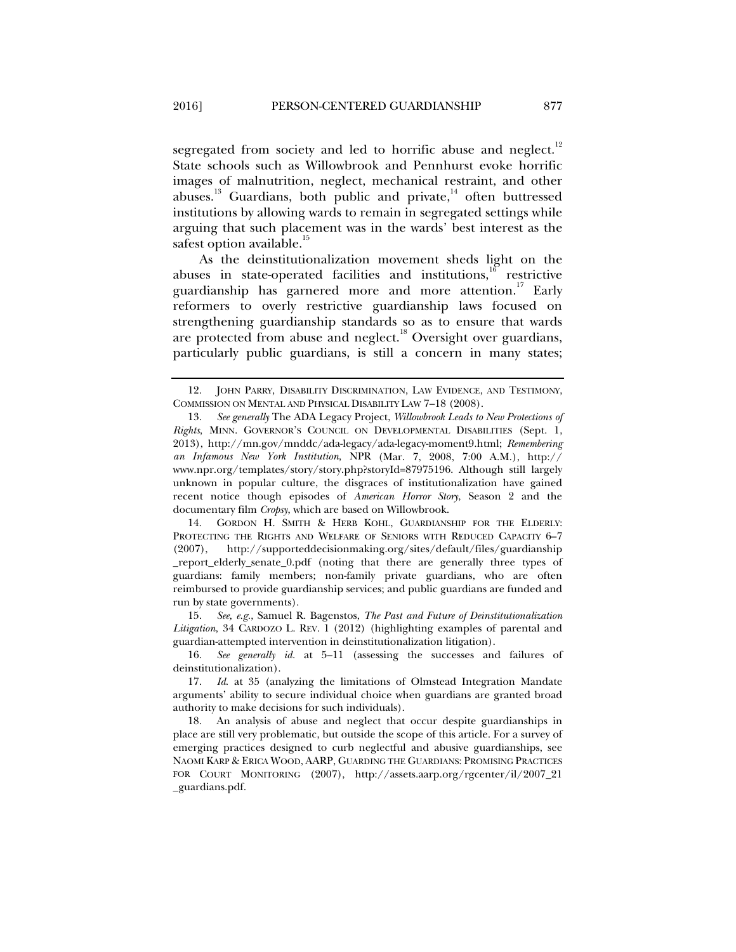segregated from society and led to horrific abuse and neglect.<sup>12</sup> State schools such as Willowbrook and Pennhurst evoke horrific images of malnutrition, neglect, mechanical restraint, and other abuses.<sup>13</sup> Guardians, both public and private, $14$  often buttressed institutions by allowing wards to remain in segregated settings while arguing that such placement was in the wards' best interest as the safest option available.<sup>15</sup>

As the deinstitutionalization movement sheds light on the abuses in state-operated facilities and institutions, $^{16}$  restrictive guardianship has garnered more and more attention.<sup>17</sup> Early reformers to overly restrictive guardianship laws focused on strengthening guardianship standards so as to ensure that wards are protected from abuse and neglect.<sup>18</sup> Oversight over guardians, particularly public guardians, is still a concern in many states;

 14. GORDON H. SMITH & HERB KOHL, GUARDIANSHIP FOR THE ELDERLY: PROTECTING THE RIGHTS AND WELFARE OF SENIORS WITH REDUCED CAPACITY 6–7 (2007), http://supporteddecisionmaking.org/sites/default/files/guardianship \_report\_elderly\_senate\_0.pdf (noting that there are generally three types of guardians: family members; non-family private guardians, who are often reimbursed to provide guardianship services; and public guardians are funded and run by state governments).

 15. *See, e.g.*, Samuel R. Bagenstos, *The Past and Future of Deinstitutionalization Litigation*, 34 CARDOZO L. REV. 1 (2012) (highlighting examples of parental and guardian-attempted intervention in deinstitutionalization litigation).

 16. *See generally id.* at 5–11 (assessing the successes and failures of deinstitutionalization).

 18. An analysis of abuse and neglect that occur despite guardianships in place are still very problematic, but outside the scope of this article. For a survey of emerging practices designed to curb neglectful and abusive guardianships, see NAOMI KARP & ERICA WOOD, AARP, GUARDING THE GUARDIANS: PROMISING PRACTICES FOR COURT MONITORING (2007), http://assets.aarp.org/rgcenter/il/2007\_21 \_guardians.pdf.

 <sup>12.</sup> JOHN PARRY, DISABILITY DISCRIMINATION, LAW EVIDENCE, AND TESTIMONY, COMMISSION ON MENTAL AND PHYSICAL DISABILITY LAW 7–18 (2008).

 <sup>13.</sup> *See generally* The ADA Legacy Project, *Willowbrook Leads to New Protections of Rights*, MINN. GOVERNOR'S COUNCIL ON DEVELOPMENTAL DISABILITIES (Sept. 1, 2013), http://mn.gov/mnddc/ada-legacy/ada-legacy-moment9.html; *Remembering an Infamous New York Institution*, NPR (Mar. 7, 2008, 7:00 A.M.), http:// www.npr.org/templates/story/story.php?storyId=87975196. Although still largely unknown in popular culture, the disgraces of institutionalization have gained recent notice though episodes of *American Horror Story*, Season 2 and the documentary film *Cropsy*, which are based on Willowbrook.

 <sup>17.</sup> *Id*. at 35 (analyzing the limitations of Olmstead Integration Mandate arguments' ability to secure individual choice when guardians are granted broad authority to make decisions for such individuals).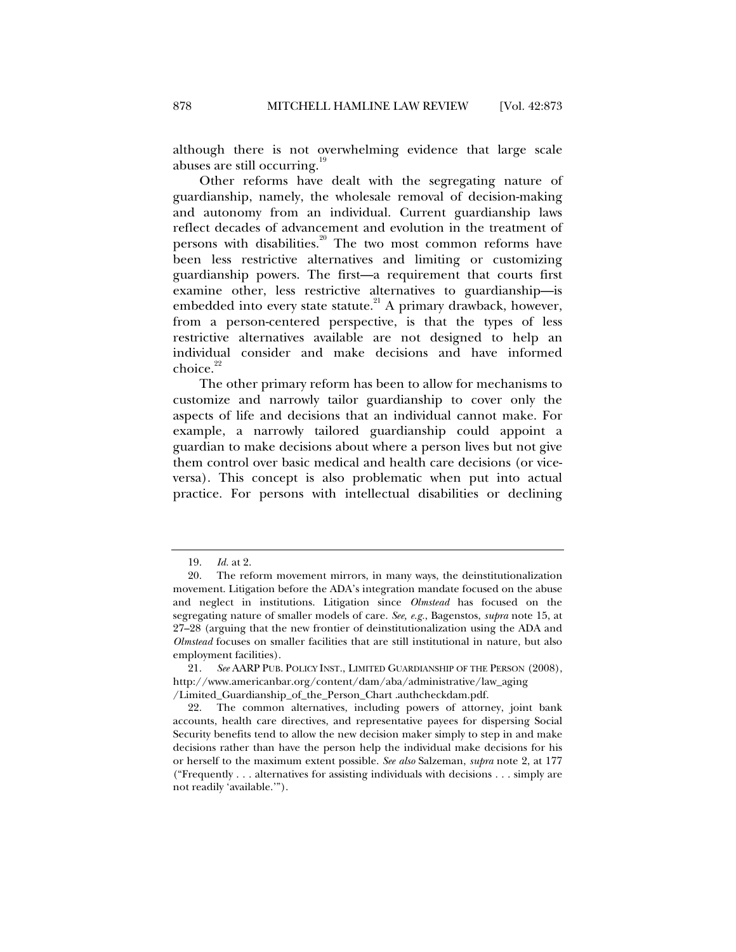although there is not overwhelming evidence that large scale abuses are still occurring.<sup>1</sup>

Other reforms have dealt with the segregating nature of guardianship, namely, the wholesale removal of decision-making and autonomy from an individual. Current guardianship laws reflect decades of advancement and evolution in the treatment of persons with disabilities.<sup>20</sup> The two most common reforms have been less restrictive alternatives and limiting or customizing guardianship powers. The first—a requirement that courts first examine other, less restrictive alternatives to guardianship—is embedded into every state statute.<sup>21</sup> A primary drawback, however, from a person-centered perspective, is that the types of less restrictive alternatives available are not designed to help an individual consider and make decisions and have informed choice.<sup>22</sup>

The other primary reform has been to allow for mechanisms to customize and narrowly tailor guardianship to cover only the aspects of life and decisions that an individual cannot make. For example, a narrowly tailored guardianship could appoint a guardian to make decisions about where a person lives but not give them control over basic medical and health care decisions (or viceversa). This concept is also problematic when put into actual practice. For persons with intellectual disabilities or declining

 <sup>19.</sup> *Id.* at 2.

 <sup>20.</sup> The reform movement mirrors, in many ways, the deinstitutionalization movement. Litigation before the ADA's integration mandate focused on the abuse and neglect in institutions. Litigation since *Olmstead* has focused on the segregating nature of smaller models of care. *See, e.g.*, Bagenstos, *supra* note 15, at 27–28 (arguing that the new frontier of deinstitutionalization using the ADA and *Olmstead* focuses on smaller facilities that are still institutional in nature, but also employment facilities).

 <sup>21.</sup> *See* AARP PUB. POLICY INST., LIMITED GUARDIANSHIP OF THE PERSON (2008), http://www.americanbar.org/content/dam/aba/administrative/law\_aging /Limited\_Guardianship\_of\_the\_Person\_Chart .authcheckdam.pdf.

 <sup>22.</sup> The common alternatives, including powers of attorney, joint bank accounts, health care directives, and representative payees for dispersing Social Security benefits tend to allow the new decision maker simply to step in and make decisions rather than have the person help the individual make decisions for his or herself to the maximum extent possible. *See also* Salzeman, *supra* note 2, at 177 ("Frequently . . . alternatives for assisting individuals with decisions . . . simply are not readily 'available.'").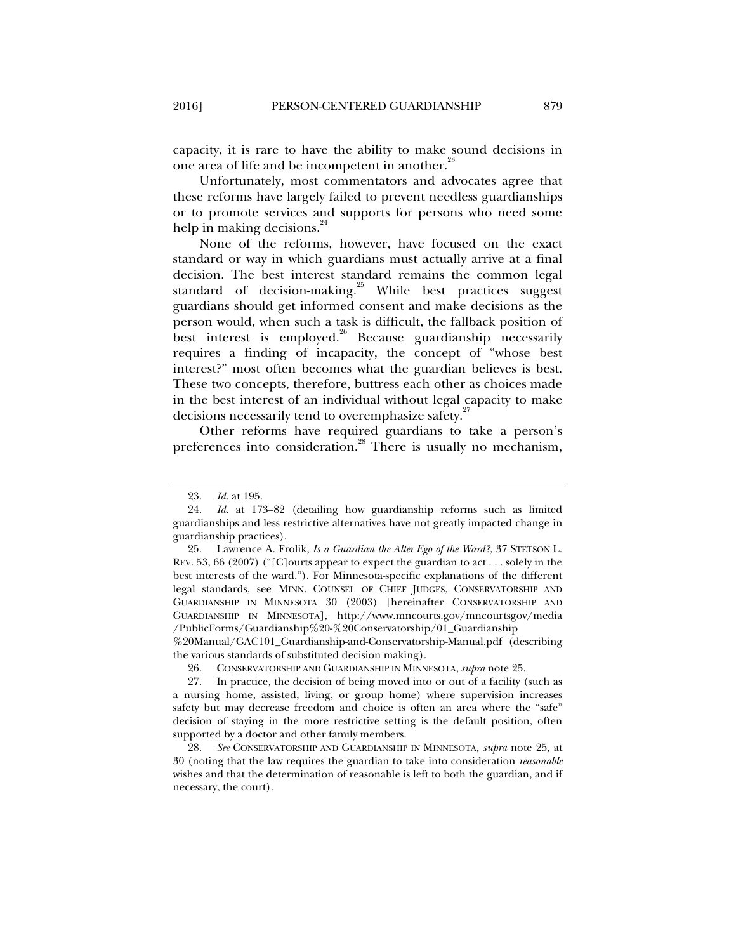capacity, it is rare to have the ability to make sound decisions in one area of life and be incompetent in another.<sup>23</sup>

Unfortunately, most commentators and advocates agree that these reforms have largely failed to prevent needless guardianships or to promote services and supports for persons who need some help in making decisions.<sup>24</sup>

None of the reforms, however, have focused on the exact standard or way in which guardians must actually arrive at a final decision. The best interest standard remains the common legal standard of decision-making.<sup>25</sup> While best practices suggest guardians should get informed consent and make decisions as the person would, when such a task is difficult, the fallback position of best interest is employed.<sup>26</sup> Because guardianship necessarily requires a finding of incapacity, the concept of "whose best interest?" most often becomes what the guardian believes is best. These two concepts, therefore, buttress each other as choices made in the best interest of an individual without legal capacity to make decisions necessarily tend to overemphasize safety.<sup>27</sup>

Other reforms have required guardians to take a person's preferences into consideration.<sup>28</sup> There is usually no mechanism,

%20Manual/GAC101\_Guardianship-and-Conservatorship-Manual.pdf (describing the various standards of substituted decision making).

 <sup>23.</sup> *Id.* at 195.

 <sup>24.</sup> *Id.* at 173–82 (detailing how guardianship reforms such as limited guardianships and less restrictive alternatives have not greatly impacted change in guardianship practices).

 <sup>25.</sup> Lawrence A. Frolik, *Is a Guardian the Alter Ego of the Ward?*, 37 STETSON L. REV. 53, 66 (2007) ("[C]ourts appear to expect the guardian to act . . . solely in the best interests of the ward."). For Minnesota-specific explanations of the different legal standards, see MINN. COUNSEL OF CHIEF JUDGES, CONSERVATORSHIP AND GUARDIANSHIP IN MINNESOTA 30 (2003) [hereinafter CONSERVATORSHIP AND GUARDIANSHIP IN MINNESOTA], http://www.mncourts.gov/mncourtsgov/media /PublicForms/Guardianship%20-%20Conservatorship/01\_Guardianship

 <sup>26.</sup> CONSERVATORSHIP AND GUARDIANSHIP IN MINNESOTA, *supra* note 25.

 <sup>27.</sup> In practice, the decision of being moved into or out of a facility (such as a nursing home, assisted, living, or group home) where supervision increases safety but may decrease freedom and choice is often an area where the "safe" decision of staying in the more restrictive setting is the default position, often supported by a doctor and other family members.

 <sup>28.</sup> *See* CONSERVATORSHIP AND GUARDIANSHIP IN MINNESOTA, *supra* note 25, at 30 (noting that the law requires the guardian to take into consideration *reasonable* wishes and that the determination of reasonable is left to both the guardian, and if necessary, the court).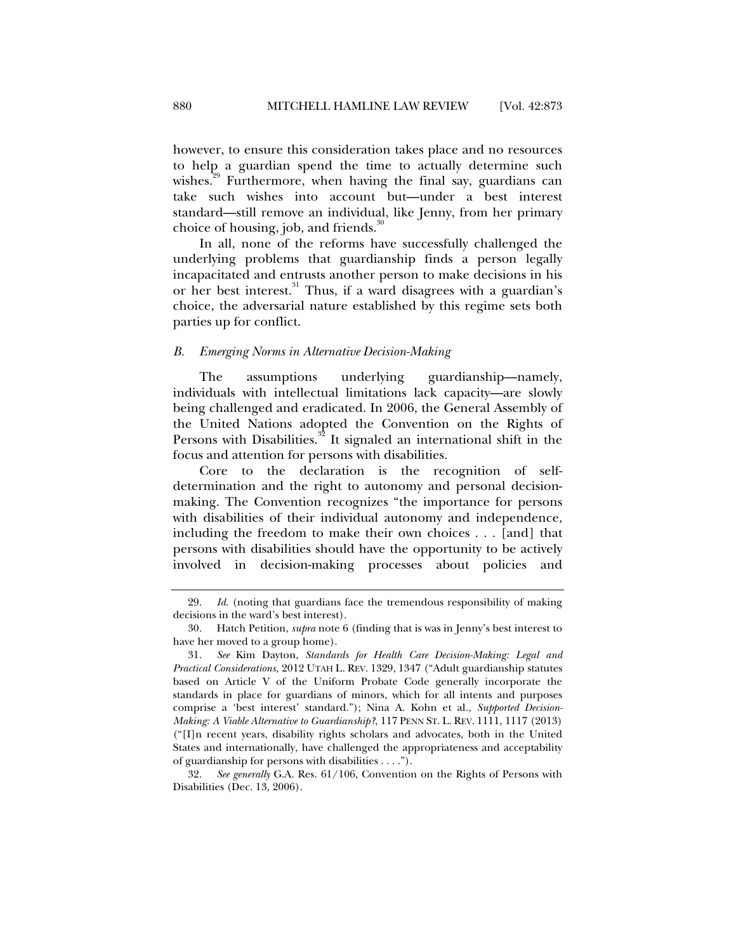however, to ensure this consideration takes place and no resources to help a guardian spend the time to actually determine such wishes.<sup>29</sup> Furthermore, when having the final say, guardians can take such wishes into account but—under a best interest standard—still remove an individual, like Jenny, from her primary choice of housing, job, and friends. $\frac{30}{10}$ 

In all, none of the reforms have successfully challenged the underlying problems that guardianship finds a person legally incapacitated and entrusts another person to make decisions in his or her best interest.<sup>31</sup> Thus, if a ward disagrees with a guardian's choice, the adversarial nature established by this regime sets both parties up for conflict.

#### *B. Emerging Norms in Alternative Decision-Making*

The assumptions underlying guardianship—namely, individuals with intellectual limitations lack capacity—are slowly being challenged and eradicated. In 2006, the General Assembly of the United Nations adopted the Convention on the Rights of Persons with Disabilities.<sup>32</sup> It signaled an international shift in the focus and attention for persons with disabilities.

Core to the declaration is the recognition of selfdetermination and the right to autonomy and personal decisionmaking. The Convention recognizes "the importance for persons with disabilities of their individual autonomy and independence, including the freedom to make their own choices . . . [and] that persons with disabilities should have the opportunity to be actively involved in decision-making processes about policies and

 <sup>29.</sup> *Id*. (noting that guardians face the tremendous responsibility of making decisions in the ward's best interest).

 <sup>30.</sup> Hatch Petition, *supra* note 6 (finding that is was in Jenny's best interest to have her moved to a group home).

 <sup>31.</sup> *See* Kim Dayton, *Standards for Health Care Decision-Making: Legal and Practical Considerations*, 2012 UTAH L. REV. 1329, 1347 ("Adult guardianship statutes based on Article V of the Uniform Probate Code generally incorporate the standards in place for guardians of minors, which for all intents and purposes comprise a 'best interest' standard."); Nina A. Kohn et al*.*, *Supported Decision-Making: A Viable Alternative to Guardianship?*, 117 PENN ST. L. REV. 1111, 1117 (2013) ("[I]n recent years, disability rights scholars and advocates, both in the United States and internationally, have challenged the appropriateness and acceptability of guardianship for persons with disabilities . . . .").

 <sup>32.</sup> *See generally* G.A. Res. 61/106, Convention on the Rights of Persons with Disabilities (Dec. 13, 2006).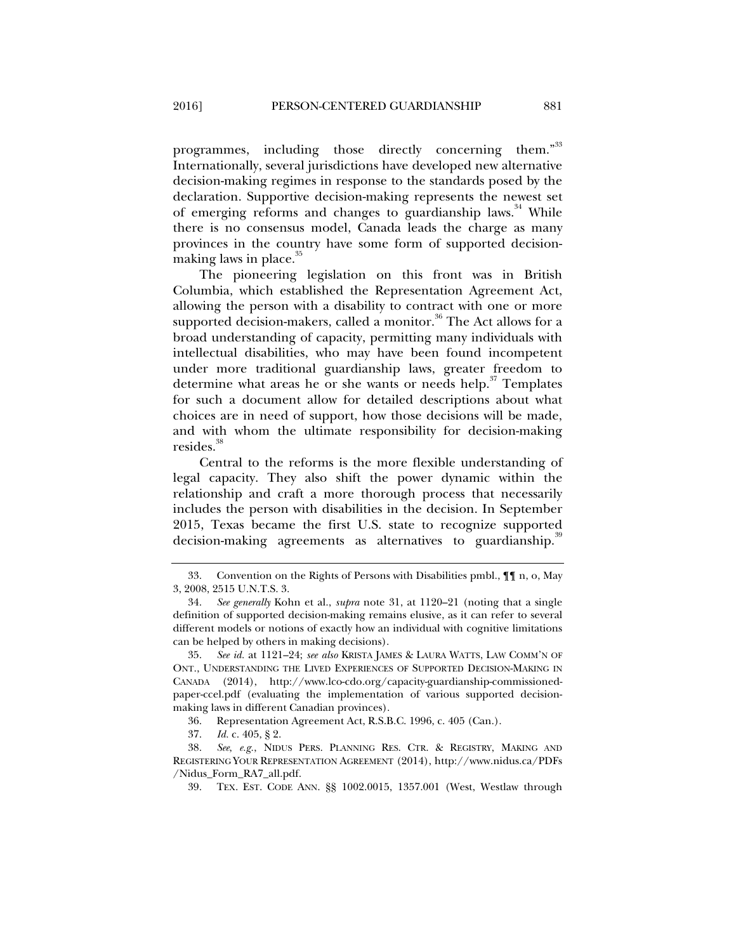programmes, including those directly concerning them."33 Internationally, several jurisdictions have developed new alternative decision-making regimes in response to the standards posed by the declaration. Supportive decision-making represents the newest set of emerging reforms and changes to guardianship laws.<sup>34</sup> While there is no consensus model, Canada leads the charge as many provinces in the country have some form of supported decisionmaking laws in place. $35$ 

The pioneering legislation on this front was in British Columbia, which established the Representation Agreement Act, allowing the person with a disability to contract with one or more supported decision-makers, called a monitor.<sup>36</sup> The Act allows for a broad understanding of capacity, permitting many individuals with intellectual disabilities, who may have been found incompetent under more traditional guardianship laws, greater freedom to determine what areas he or she wants or needs help.<sup>37</sup> Templates for such a document allow for detailed descriptions about what choices are in need of support, how those decisions will be made, and with whom the ultimate responsibility for decision-making resides.<sup>38</sup>

Central to the reforms is the more flexible understanding of legal capacity. They also shift the power dynamic within the relationship and craft a more thorough process that necessarily includes the person with disabilities in the decision. In September 2015, Texas became the first U.S. state to recognize supported decision-making agreements as alternatives to guardianship.<sup>31</sup>

36. Representation Agreement Act, R.S.B.C. 1996, c. 405 (Can.).

 <sup>33.</sup> Convention on the Rights of Persons with Disabilities pmbl., ¶¶ n, o, May 3, 2008, 2515 U.N.T.S. 3.

 <sup>34.</sup> *See generally* Kohn et al., *supra* note 31, at 1120–21 (noting that a single definition of supported decision-making remains elusive, as it can refer to several different models or notions of exactly how an individual with cognitive limitations can be helped by others in making decisions).

 <sup>35.</sup> *See id.* at 1121–24; *see also* KRISTA JAMES & LAURA WATTS, LAW COMM'N OF ONT., UNDERSTANDING THE LIVED EXPERIENCES OF SUPPORTED DECISION-MAKING IN CANADA (2014), http://www.lco-cdo.org/capacity-guardianship-commissionedpaper-ccel.pdf (evaluating the implementation of various supported decisionmaking laws in different Canadian provinces).

 <sup>37.</sup> *Id.* c. 405, § 2.

 <sup>38.</sup> *See*, *e.g.*, NIDUS PERS. PLANNING RES. CTR. & REGISTRY, MAKING AND REGISTERING YOUR REPRESENTATION AGREEMENT (2014), http://www.nidus.ca/PDFs /Nidus\_Form\_RA7\_all.pdf.

 <sup>39.</sup> TEX. EST. CODE ANN. §§ 1002.0015, 1357.001 (West, Westlaw through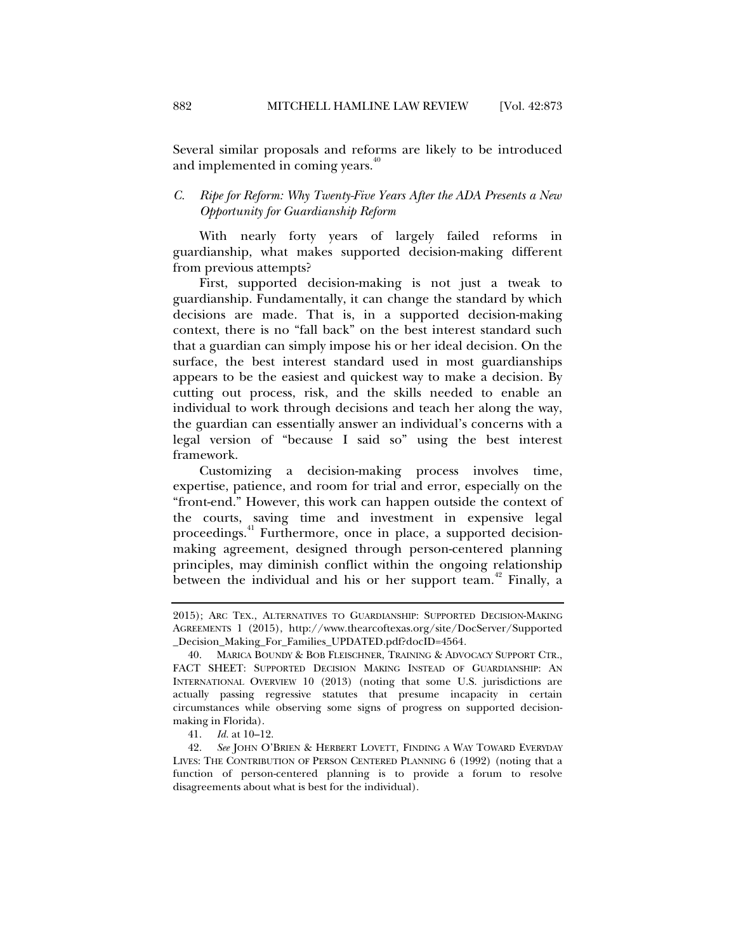Several similar proposals and reforms are likely to be introduced and implemented in coming years.<sup>40</sup>

#### *C. Ripe for Reform: Why Twenty-Five Years After the ADA Presents a New Opportunity for Guardianship Reform*

With nearly forty years of largely failed reforms in guardianship, what makes supported decision-making different from previous attempts?

First, supported decision-making is not just a tweak to guardianship. Fundamentally, it can change the standard by which decisions are made. That is, in a supported decision-making context, there is no "fall back" on the best interest standard such that a guardian can simply impose his or her ideal decision. On the surface, the best interest standard used in most guardianships appears to be the easiest and quickest way to make a decision. By cutting out process, risk, and the skills needed to enable an individual to work through decisions and teach her along the way, the guardian can essentially answer an individual's concerns with a legal version of "because I said so" using the best interest framework.

Customizing a decision-making process involves time, expertise, patience, and room for trial and error, especially on the "front-end." However, this work can happen outside the context of the courts, saving time and investment in expensive legal proceedings.<sup>41</sup> Furthermore, once in place, a supported decisionmaking agreement, designed through person-centered planning principles, may diminish conflict within the ongoing relationship between the individual and his or her support team.<sup>42</sup> Finally, a

<sup>2015);</sup> ARC TEX., ALTERNATIVES TO GUARDIANSHIP: SUPPORTED DECISION-MAKING AGREEMENTS 1 (2015), http://www.thearcoftexas.org/site/DocServer/Supported \_Decision\_Making\_For\_Families\_UPDATED.pdf?docID=4564*.*

 <sup>40.</sup> MARICA BOUNDY & BOB FLEISCHNER, TRAINING & ADVOCACY SUPPORT CTR., FACT SHEET: SUPPORTED DECISION MAKING INSTEAD OF GUARDIANSHIP: AN INTERNATIONAL OVERVIEW 10 (2013) (noting that some U.S. jurisdictions are actually passing regressive statutes that presume incapacity in certain circumstances while observing some signs of progress on supported decisionmaking in Florida).

 <sup>41.</sup> *Id.* at 10–12.

 <sup>42.</sup> *See* JOHN O'BRIEN & HERBERT LOVETT, FINDING A WAY TOWARD EVERYDAY LIVES: THE CONTRIBUTION OF PERSON CENTERED PLANNING 6 (1992) (noting that a function of person-centered planning is to provide a forum to resolve disagreements about what is best for the individual).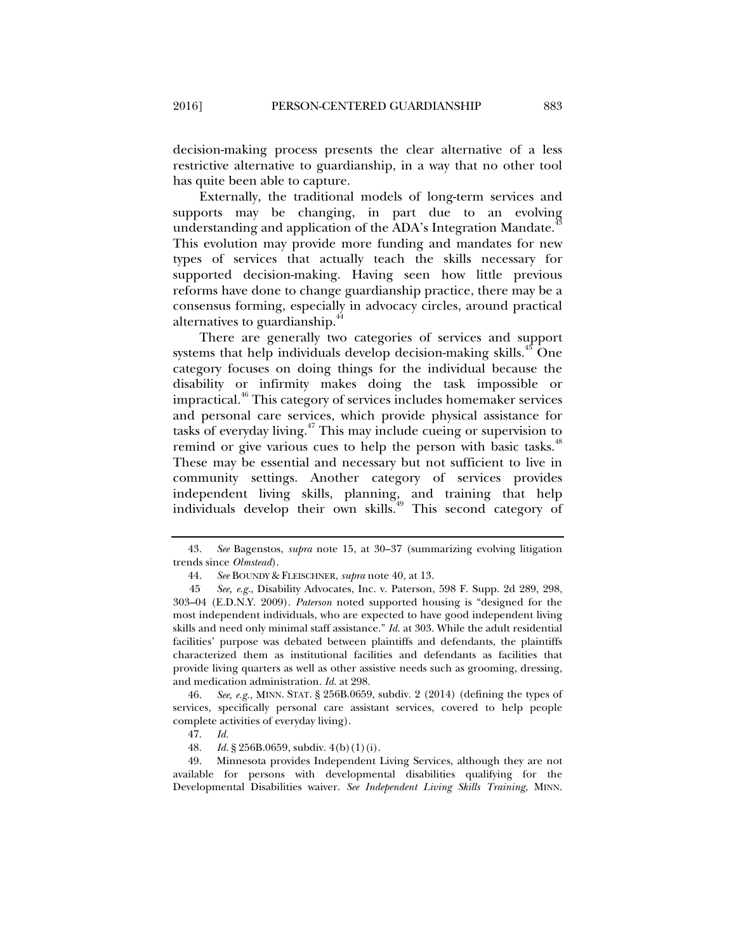decision-making process presents the clear alternative of a less restrictive alternative to guardianship, in a way that no other tool has quite been able to capture.

Externally, the traditional models of long-term services and supports may be changing, in part due to an evolving understanding and application of the ADA's Integration Mandate.<sup>4</sup> This evolution may provide more funding and mandates for new types of services that actually teach the skills necessary for supported decision-making. Having seen how little previous reforms have done to change guardianship practice, there may be a consensus forming, especially in advocacy circles, around practical alternatives to guardianship.<sup>44</sup>

There are generally two categories of services and support systems that help individuals develop decision-making skills.<sup>45</sup> One category focuses on doing things for the individual because the disability or infirmity makes doing the task impossible or impractical.46 This category of services includes homemaker services and personal care services, which provide physical assistance for tasks of everyday living.<sup>47</sup> This may include cueing or supervision to remind or give various cues to help the person with basic tasks.<sup>48</sup> These may be essential and necessary but not sufficient to live in community settings. Another category of services provides independent living skills, planning, and training that help individuals develop their own skills.<sup>49</sup> This second category of

 46. *See*, *e.g.*, MINN. STAT. § 256B.0659, subdiv. 2 (2014) (defining the types of services, specifically personal care assistant services, covered to help people complete activities of everyday living).

47. *Id.*

 49. Minnesota provides Independent Living Services, although they are not available for persons with developmental disabilities qualifying for the Developmental Disabilities waiver. *See Independent Living Skills Training*, MINN.

 <sup>43.</sup> *See* Bagenstos, *supra* note 15, at 30–37 (summarizing evolving litigation trends since *Olmstead*).

 <sup>44.</sup> *See* BOUNDY & FLEISCHNER, *supra* note 40, at 13.

<sup>45</sup>. *See, e.g.*, Disability Advocates, Inc. v. Paterson, 598 F. Supp. 2d 289, 298, 303–04 (E.D.N.Y. 2009). *Paterson* noted supported housing is "designed for the most independent individuals, who are expected to have good independent living skills and need only minimal staff assistance." *Id.* at 303. While the adult residential facilities' purpose was debated between plaintiffs and defendants, the plaintiffs characterized them as institutional facilities and defendants as facilities that provide living quarters as well as other assistive needs such as grooming, dressing, and medication administration. *Id*. at 298.

 <sup>48.</sup> *Id.* § 256B.0659, subdiv. 4(b)(1)(i).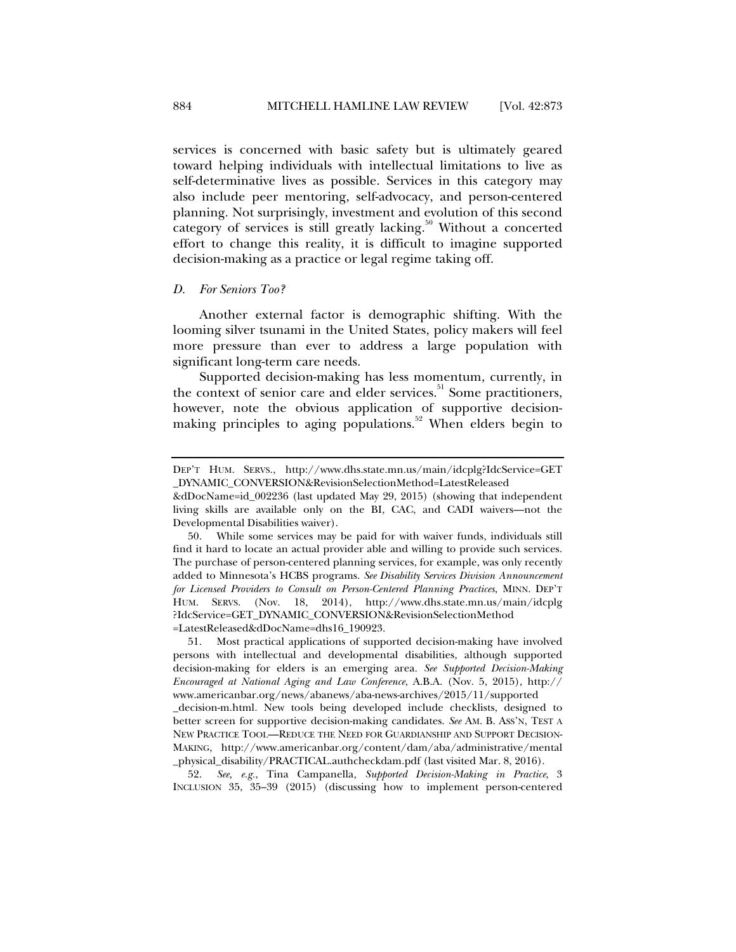services is concerned with basic safety but is ultimately geared toward helping individuals with intellectual limitations to live as self-determinative lives as possible. Services in this category may also include peer mentoring, self-advocacy, and person-centered planning. Not surprisingly, investment and evolution of this second category of services is still greatly lacking.<sup>50</sup> Without a concerted effort to change this reality, it is difficult to imagine supported decision-making as a practice or legal regime taking off.

#### *D. For Seniors Too?*

Another external factor is demographic shifting. With the looming silver tsunami in the United States, policy makers will feel more pressure than ever to address a large population with significant long-term care needs.

Supported decision-making has less momentum, currently, in the context of senior care and elder services. $51$  Some practitioners, however, note the obvious application of supportive decisionmaking principles to aging populations. $52$  When elders begin to

 52. *See, e.g.*, Tina Campanella*, Supported Decision-Making in Practice*, 3 INCLUSION 35, 35–39 (2015) (discussing how to implement person-centered

DEP'T HUM. SERVS., http://www.dhs.state.mn.us/main/idcplg?IdcService=GET \_DYNAMIC\_CONVERSION&RevisionSelectionMethod=LatestReleased

<sup>&</sup>amp;dDocName=id\_002236 (last updated May 29, 2015) (showing that independent living skills are available only on the BI, CAC, and CADI waivers—not the Developmental Disabilities waiver).

 <sup>50.</sup> While some services may be paid for with waiver funds, individuals still find it hard to locate an actual provider able and willing to provide such services. The purchase of person-centered planning services, for example, was only recently added to Minnesota's HCBS programs. *See Disability Services Division Announcement for Licensed Providers to Consult on Person-Centered Planning Practices*, MINN. DEP'T HUM. SERVS. (Nov. 18, 2014), http://www.dhs.state.mn.us/main/idcplg ?IdcService=GET\_DYNAMIC\_CONVERSION&RevisionSelectionMethod =LatestReleased&dDocName=dhs16\_190923.

 <sup>51.</sup> Most practical applications of supported decision-making have involved persons with intellectual and developmental disabilities, although supported decision-making for elders is an emerging area. *See Supported Decision-Making Encouraged at National Aging and Law Conference*, A.B.A. (Nov. 5, 2015), http:// www.americanbar.org/news/abanews/aba-news-archives/2015/11/supported

\_decision-m.html. New tools being developed include checklists, designed to better screen for supportive decision-making candidates. *See* AM. B. ASS'N, TEST A NEW PRACTICE TOOL—REDUCE THE NEED FOR GUARDIANSHIP AND SUPPORT DECISION-MAKING, http://www.americanbar.org/content/dam/aba/administrative/mental \_physical\_disability/PRACTICAL.authcheckdam.pdf (last visited Mar. 8, 2016).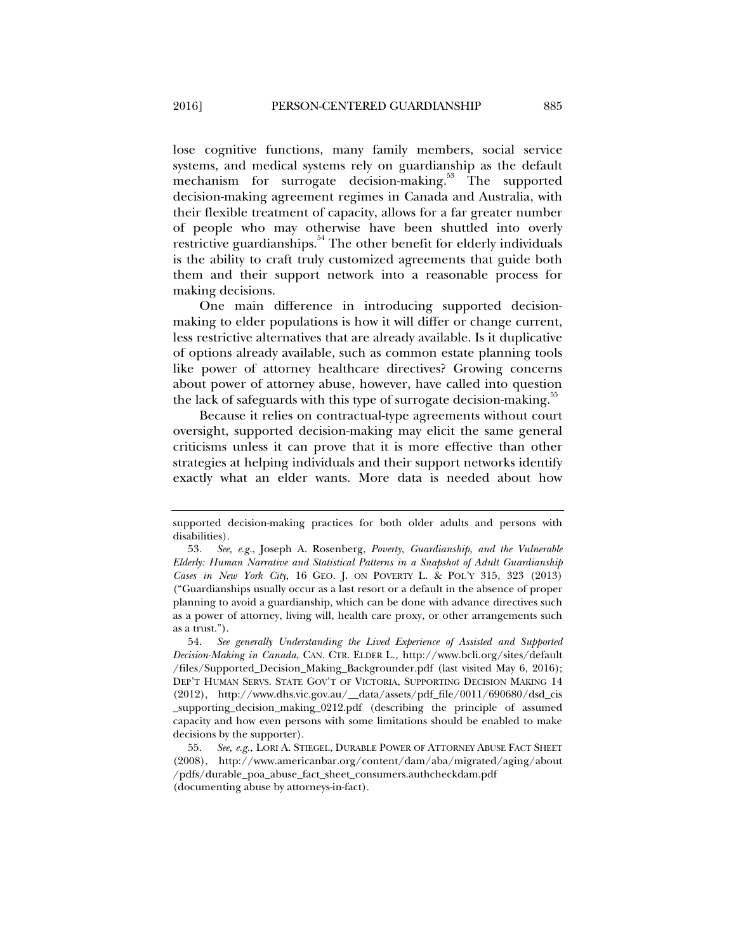lose cognitive functions, many family members, social service systems, and medical systems rely on guardianship as the default mechanism for surrogate decision-making.<sup>53</sup> The supported decision-making agreement regimes in Canada and Australia, with their flexible treatment of capacity, allows for a far greater number of people who may otherwise have been shuttled into overly restrictive guardianships.<sup>54</sup> The other benefit for elderly individuals is the ability to craft truly customized agreements that guide both them and their support network into a reasonable process for making decisions.

One main difference in introducing supported decisionmaking to elder populations is how it will differ or change current, less restrictive alternatives that are already available. Is it duplicative of options already available, such as common estate planning tools like power of attorney healthcare directives? Growing concerns about power of attorney abuse, however, have called into question the lack of safeguards with this type of surrogate decision-making.<sup>35</sup>

Because it relies on contractual-type agreements without court oversight, supported decision-making may elicit the same general criticisms unless it can prove that it is more effective than other strategies at helping individuals and their support networks identify exactly what an elder wants. More data is needed about how

supported decision-making practices for both older adults and persons with disabilities).

 <sup>53.</sup> *See, e.g.*, Joseph A. Rosenberg, *Poverty, Guardianship, and the Vulnerable Elderly: Human Narrative and Statistical Patterns in a Snapshot of Adult Guardianship Cases in New York City*, 16 GEO. J. ON POVERTY L. & POL'Y 315, 323 (2013) ("Guardianships usually occur as a last resort or a default in the absence of proper planning to avoid a guardianship, which can be done with advance directives such as a power of attorney, living will, health care proxy, or other arrangements such as a trust.").

 <sup>54.</sup> *See generally Understanding the Lived Experience of Assisted and Supported Decision-Making in Canada*, CAN. CTR. ELDER L.*,* http://www.bcli.org/sites/default /files/Supported\_Decision\_Making\_Backgrounder.pdf (last visited May 6, 2016); DEP'T HUMAN SERVS. STATE GOV'T OF VICTORIA, SUPPORTING DECISION MAKING 14 (2012), http://www.dhs.vic.gov.au/\_\_data/assets/pdf\_file/0011/690680/dsd\_cis \_supporting\_decision\_making\_0212.pdf (describing the principle of assumed capacity and how even persons with some limitations should be enabled to make decisions by the supporter).

 <sup>55.</sup> *See, e.g.*, LORI A. STIEGEL, DURABLE POWER OF ATTORNEY ABUSE FACT SHEET (2008), http://www.americanbar.org/content/dam/aba/migrated/aging/about /pdfs/durable\_poa\_abuse\_fact\_sheet\_consumers.authcheckdam.pdf (documenting abuse by attorneys-in-fact).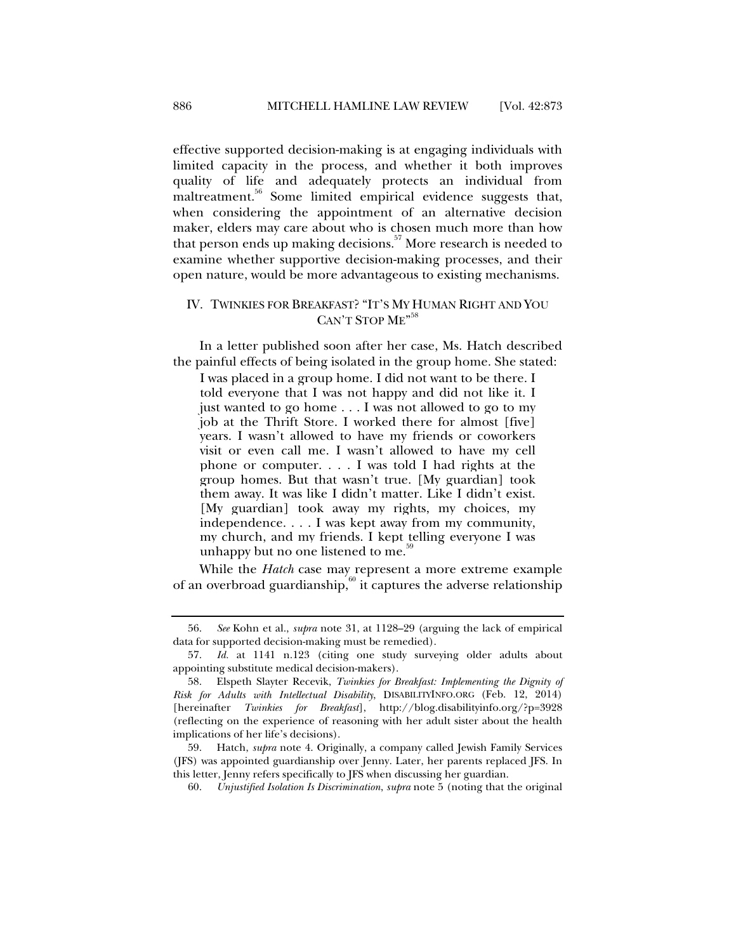effective supported decision-making is at engaging individuals with limited capacity in the process, and whether it both improves quality of life and adequately protects an individual from maltreatment.<sup>56</sup> Some limited empirical evidence suggests that, when considering the appointment of an alternative decision maker, elders may care about who is chosen much more than how that person ends up making decisions.<sup>57</sup> More research is needed to examine whether supportive decision-making processes, and their open nature, would be more advantageous to existing mechanisms.

### IV. TWINKIES FOR BREAKFAST? "IT'S MY HUMAN RIGHT AND YOU CAN'T STOP ME<sup>"58</sup>

In a letter published soon after her case, Ms. Hatch described the painful effects of being isolated in the group home. She stated:

I was placed in a group home. I did not want to be there. I told everyone that I was not happy and did not like it. I just wanted to go home . . . I was not allowed to go to my job at the Thrift Store. I worked there for almost [five] years. I wasn't allowed to have my friends or coworkers visit or even call me. I wasn't allowed to have my cell phone or computer. . . . I was told I had rights at the group homes. But that wasn't true. [My guardian] took them away. It was like I didn't matter. Like I didn't exist. [My guardian] took away my rights, my choices, my independence. . . . I was kept away from my community, my church, and my friends. I kept telling everyone I was unhappy but no one listened to me. $5$ 

While the *Hatch* case may represent a more extreme example of an overbroad guardianship, $60$  it captures the adverse relationship

 <sup>56.</sup> *See* Kohn et al., *supra* note 31, at 1128–29 (arguing the lack of empirical data for supported decision-making must be remedied).

 <sup>57.</sup> *Id.* at 1141 n.123 (citing one study surveying older adults about appointing substitute medical decision-makers).

 <sup>58.</sup> Elspeth Slayter Recevik, *Twinkies for Breakfast: Implementing the Dignity of Risk for Adults with Intellectual Disability*, DISABILITYINFO.ORG (Feb. 12, 2014) [hereinafter *Twinkies for Breakfast*], http://blog.disabilityinfo.org/?p=3928 (reflecting on the experience of reasoning with her adult sister about the health implications of her life's decisions).

 <sup>59.</sup> Hatch, *supra* note 4. Originally, a company called Jewish Family Services (JFS) was appointed guardianship over Jenny. Later, her parents replaced JFS. In this letter, Jenny refers specifically to JFS when discussing her guardian.

 <sup>60.</sup> *Unjustified Isolation Is Discrimination*, *supra* note 5 (noting that the original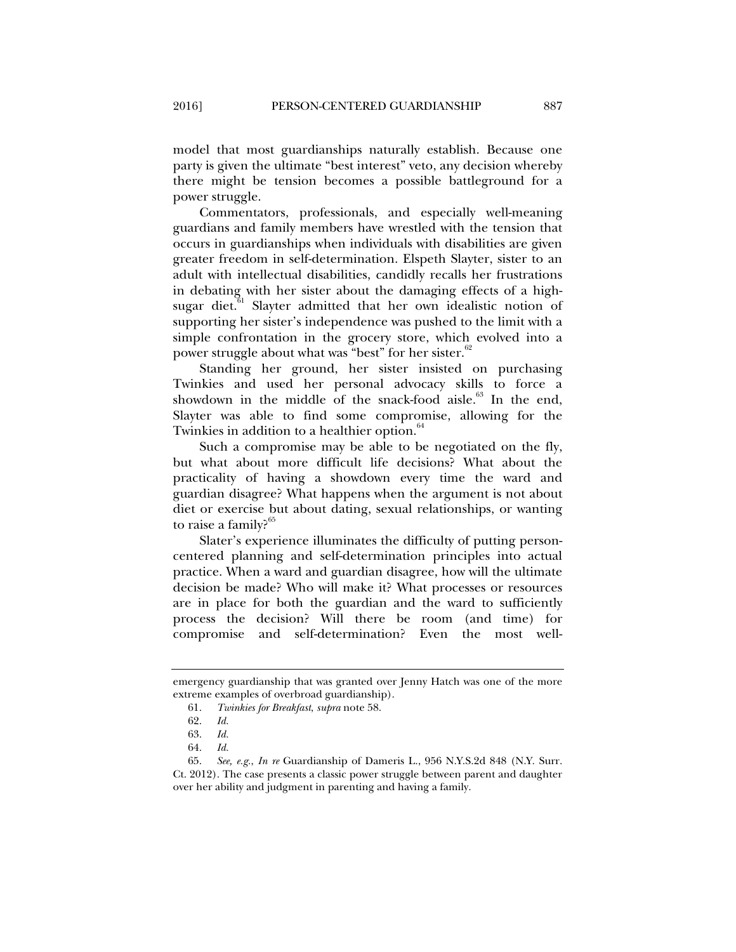model that most guardianships naturally establish. Because one party is given the ultimate "best interest" veto, any decision whereby there might be tension becomes a possible battleground for a power struggle.

Commentators, professionals, and especially well-meaning guardians and family members have wrestled with the tension that occurs in guardianships when individuals with disabilities are given greater freedom in self-determination. Elspeth Slayter, sister to an adult with intellectual disabilities, candidly recalls her frustrations in debating with her sister about the damaging effects of a highsugar diet.<sup>61</sup> Slayter admitted that her own idealistic notion of supporting her sister's independence was pushed to the limit with a simple confrontation in the grocery store, which evolved into a power struggle about what was "best" for her sister.<sup>62</sup>

Standing her ground, her sister insisted on purchasing Twinkies and used her personal advocacy skills to force a showdown in the middle of the snack-food aisle. $63$  In the end, Slayter was able to find some compromise, allowing for the Twinkies in addition to a healthier option.<sup>64</sup>

Such a compromise may be able to be negotiated on the fly, but what about more difficult life decisions? What about the practicality of having a showdown every time the ward and guardian disagree? What happens when the argument is not about diet or exercise but about dating, sexual relationships, or wanting to raise a family?<sup>65</sup>

Slater's experience illuminates the difficulty of putting personcentered planning and self-determination principles into actual practice. When a ward and guardian disagree, how will the ultimate decision be made? Who will make it? What processes or resources are in place for both the guardian and the ward to sufficiently process the decision? Will there be room (and time) for compromise and self-determination? Even the most well-

emergency guardianship that was granted over Jenny Hatch was one of the more extreme examples of overbroad guardianship).

 <sup>61.</sup> *Twinkies for Breakfast*, *supra* note 58.

 <sup>62.</sup> *Id.*

 <sup>63.</sup> *Id.*

 <sup>64.</sup> *Id.*

 <sup>65.</sup> *See, e.g.*, *In re* Guardianship of Dameris L., 956 N.Y.S.2d 848 (N.Y. Surr. Ct. 2012). The case presents a classic power struggle between parent and daughter over her ability and judgment in parenting and having a family.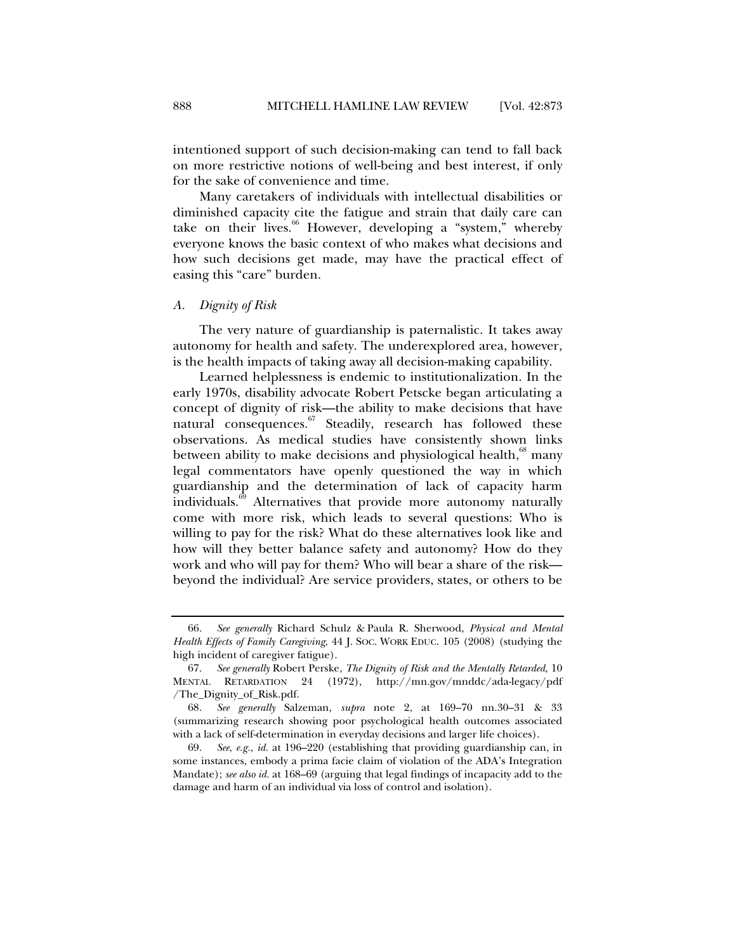intentioned support of such decision-making can tend to fall back on more restrictive notions of well-being and best interest, if only for the sake of convenience and time.

Many caretakers of individuals with intellectual disabilities or diminished capacity cite the fatigue and strain that daily care can take on their lives.<sup>66</sup> However, developing a "system," whereby everyone knows the basic context of who makes what decisions and how such decisions get made, may have the practical effect of easing this "care" burden.

#### *A. Dignity of Risk*

The very nature of guardianship is paternalistic. It takes away autonomy for health and safety. The underexplored area, however, is the health impacts of taking away all decision-making capability.

Learned helplessness is endemic to institutionalization. In the early 1970s, disability advocate Robert Petscke began articulating a concept of dignity of risk—the ability to make decisions that have natural consequences.<sup>67</sup> Steadily, research has followed these observations. As medical studies have consistently shown links between ability to make decisions and physiological health,  $^{68}$  many legal commentators have openly questioned the way in which guardianship and the determination of lack of capacity harm individuals.<sup>69</sup> Alternatives that provide more autonomy naturally come with more risk, which leads to several questions: Who is willing to pay for the risk? What do these alternatives look like and how will they better balance safety and autonomy? How do they work and who will pay for them? Who will bear a share of the risk beyond the individual? Are service providers, states, or others to be

 <sup>66.</sup> *See generally* Richard Schulz & Paula R. Sherwood, *Physical and Mental Health Effects of Family Caregiving*, 44 J. SOC. WORK EDUC. 105 (2008) (studying the high incident of caregiver fatigue).

 <sup>67.</sup> *See generally* Robert Perske, *The Dignity of Risk and the Mentally Retarded*, 10 MENTAL RETARDATION 24 (1972), http://mn.gov/mnddc/ada-legacy/pdf /The\_Dignity\_of\_Risk.pdf.

 <sup>68.</sup> *See generally* Salzeman, *supra* note 2, at 169–70 nn.30–31 & 33 (summarizing research showing poor psychological health outcomes associated with a lack of self-determination in everyday decisions and larger life choices).

 <sup>69.</sup> *See*, *e.g.*, *id.* at 196–220 (establishing that providing guardianship can, in some instances, embody a prima facie claim of violation of the ADA's Integration Mandate); *see also id.* at 168–69 (arguing that legal findings of incapacity add to the damage and harm of an individual via loss of control and isolation).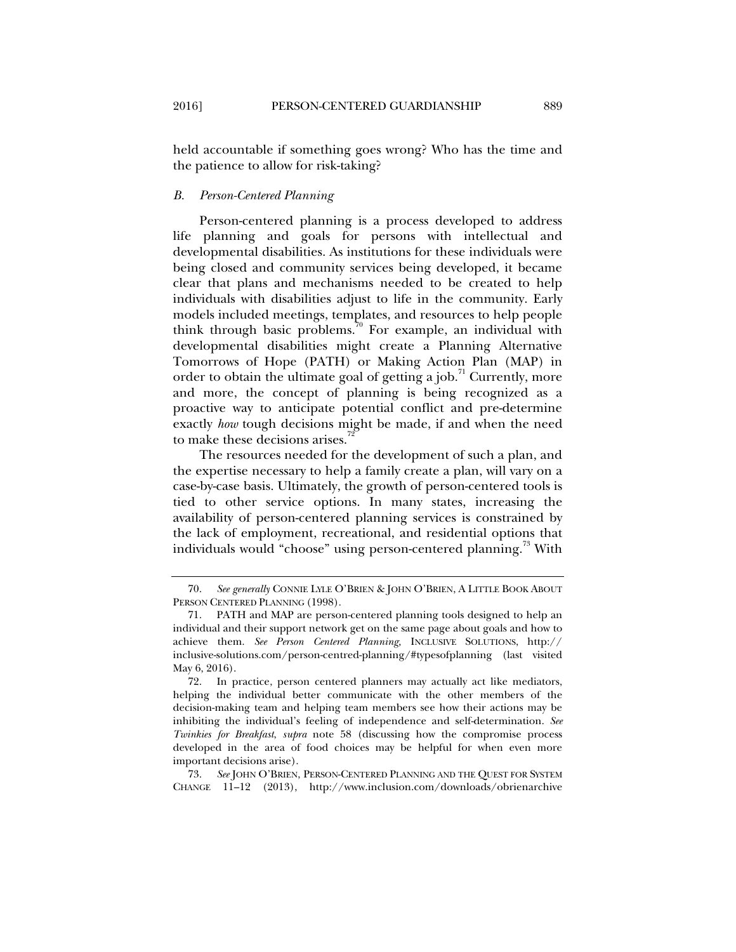held accountable if something goes wrong? Who has the time and the patience to allow for risk-taking?

#### *B. Person-Centered Planning*

Person-centered planning is a process developed to address life planning and goals for persons with intellectual and developmental disabilities. As institutions for these individuals were being closed and community services being developed, it became clear that plans and mechanisms needed to be created to help individuals with disabilities adjust to life in the community. Early models included meetings, templates, and resources to help people think through basic problems.<sup>70</sup> For example, an individual with developmental disabilities might create a Planning Alternative Tomorrows of Hope (PATH) or Making Action Plan (MAP) in order to obtain the ultimate goal of getting a job.<sup>71</sup> Currently, more and more, the concept of planning is being recognized as a proactive way to anticipate potential conflict and pre-determine exactly *how* tough decisions might be made, if and when the need to make these decisions arises.<sup>7</sup>

The resources needed for the development of such a plan, and the expertise necessary to help a family create a plan, will vary on a case-by-case basis. Ultimately, the growth of person-centered tools is tied to other service options. In many states, increasing the availability of person-centered planning services is constrained by the lack of employment, recreational, and residential options that individuals would "choose" using person-centered planning.<sup>73</sup> With

 <sup>70.</sup> *See generally* CONNIE LYLE O'BRIEN & JOHN O'BRIEN, A LITTLE BOOK ABOUT PERSON CENTERED PLANNING (1998).

 <sup>71.</sup> PATH and MAP are person-centered planning tools designed to help an individual and their support network get on the same page about goals and how to achieve them. *See Person Centered Planning,* INCLUSIVE SOLUTIONS, http:// inclusive-solutions.com/person-centred-planning/#typesofplanning (last visited May 6, 2016).

 <sup>72.</sup> In practice, person centered planners may actually act like mediators, helping the individual better communicate with the other members of the decision-making team and helping team members see how their actions may be inhibiting the individual's feeling of independence and self-determination. *See Twinkies for Breakfast*, *supra* note 58 (discussing how the compromise process developed in the area of food choices may be helpful for when even more important decisions arise).

 <sup>73.</sup> *See* JOHN O'BRIEN, PERSON-CENTERED PLANNING AND THE QUEST FOR SYSTEM CHANGE 11–12 (2013), http://www.inclusion.com/downloads/obrienarchive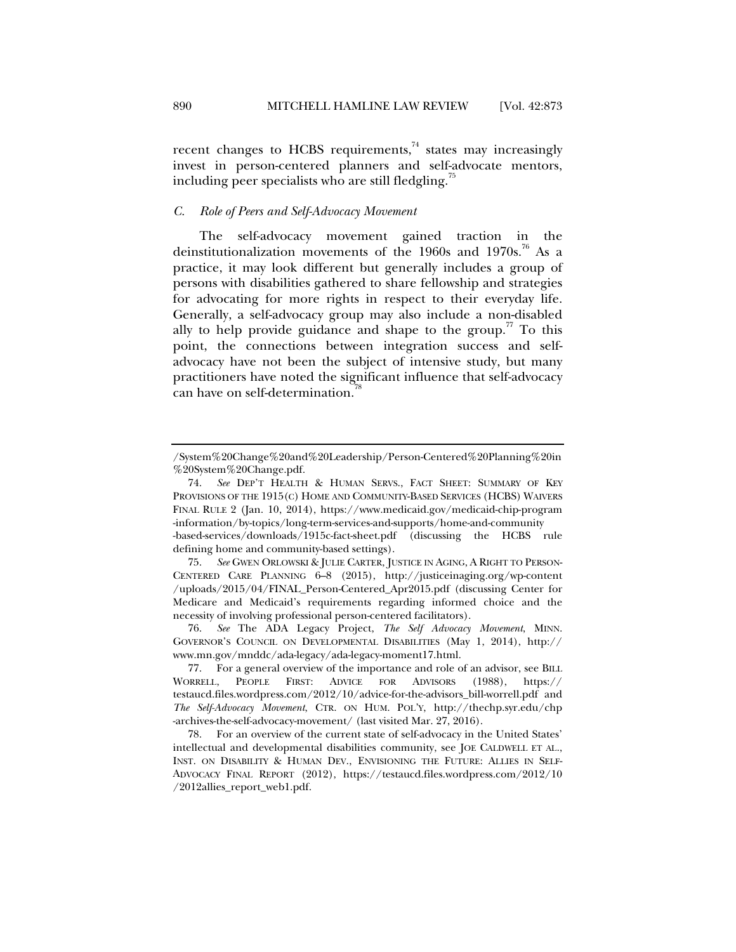recent changes to HCBS requirements, $74$  states may increasingly invest in person-centered planners and self-advocate mentors, including peer specialists who are still fledgling. $\frac{3}{5}$ 

#### *C. Role of Peers and Self-Advocacy Movement*

The self-advocacy movement gained traction in the deinstitutionalization movements of the 1960s and 1970s.<sup>76</sup> As a practice, it may look different but generally includes a group of persons with disabilities gathered to share fellowship and strategies for advocating for more rights in respect to their everyday life. Generally, a self-advocacy group may also include a non-disabled ally to help provide guidance and shape to the group.<sup> $\pi$ </sup> To this point, the connections between integration success and selfadvocacy have not been the subject of intensive study, but many practitioners have noted the significant influence that self-advocacy can have on self-determination.

<sup>/</sup>System%20Change%20and%20Leadership/Person-Centered%20Planning%20in %20System%20Change.pdf.

 <sup>74.</sup> *See* DEP'T HEALTH & HUMAN SERVS., FACT SHEET: SUMMARY OF KEY PROVISIONS OF THE 1915(C) HOME AND COMMUNITY-BASED SERVICES (HCBS) WAIVERS FINAL RULE 2 (Jan. 10, 2014), https://www.medicaid.gov/medicaid-chip-program -information/by-topics/long-term-services-and-supports/home-and-community -based-services/downloads/1915c-fact-sheet.pdf (discussing the HCBS rule defining home and community-based settings).

 <sup>75.</sup> *See* GWEN ORLOWSKI & JULIE CARTER, JUSTICE IN AGING, A RIGHT TO PERSON-CENTERED CARE PLANNING 6–8 (2015), http://justiceinaging.org/wp-content /uploads/2015/04/FINAL\_Person-Centered\_Apr2015.pdf (discussing Center for Medicare and Medicaid's requirements regarding informed choice and the necessity of involving professional person-centered facilitators).

 <sup>76.</sup> *See* The ADA Legacy Project, *The Self Advocacy Movement*, MINN. GOVERNOR'S COUNCIL ON DEVELOPMENTAL DISABILITIES (May 1, 2014), http:// www.mn.gov/mnddc/ada-legacy/ada-legacy-moment17.html.

 <sup>77.</sup> For a general overview of the importance and role of an advisor, see BILL WORRELL, PEOPLE FIRST: ADVICE FOR ADVISORS (1988), https:// testaucd.files.wordpress.com/2012/10/advice-for-the-advisors\_bill-worrell.pdf and *The Self-Advocacy Movement*, CTR. ON HUM. POL'Y, http://thechp.syr.edu/chp -archives-the-self-advocacy-movement/ (last visited Mar. 27, 2016).

 <sup>78.</sup> For an overview of the current state of self-advocacy in the United States' intellectual and developmental disabilities community, see JOE CALDWELL ET AL., INST. ON DISABILITY & HUMAN DEV., ENVISIONING THE FUTURE: ALLIES IN SELF-ADVOCACY FINAL REPORT (2012), https://testaucd.files.wordpress.com/2012/10 /2012allies\_report\_web1.pdf.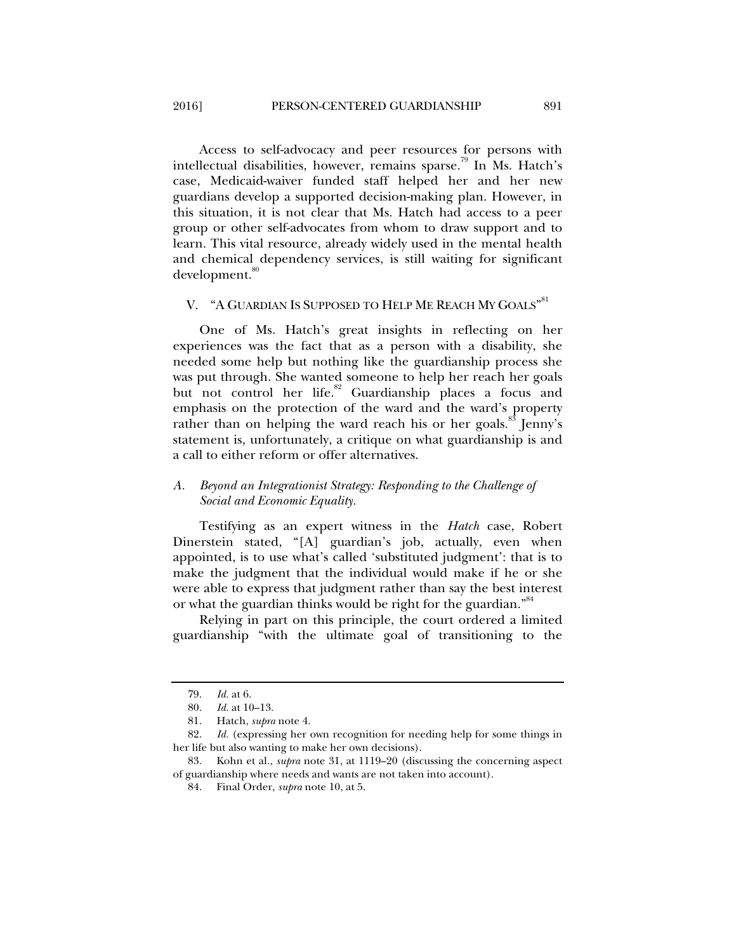Access to self-advocacy and peer resources for persons with intellectual disabilities, however, remains sparse.<sup>79</sup> In Ms. Hatch's case, Medicaid-waiver funded staff helped her and her new guardians develop a supported decision-making plan. However, in this situation, it is not clear that Ms. Hatch had access to a peer group or other self-advocates from whom to draw support and to learn. This vital resource, already widely used in the mental health and chemical dependency services, is still waiting for significant development.<sup>80</sup>

# V. "A GUARDIAN IS SUPPOSED TO HELP ME REACH MY GOALS"  $^{\text{81}}$

One of Ms. Hatch's great insights in reflecting on her experiences was the fact that as a person with a disability, she needed some help but nothing like the guardianship process she was put through. She wanted someone to help her reach her goals but not control her life.<sup>82</sup> Guardianship places a focus and emphasis on the protection of the ward and the ward's property rather than on helping the ward reach his or her goals.<sup>83</sup> Jenny's statement is, unfortunately, a critique on what guardianship is and a call to either reform or offer alternatives.

#### *A. Beyond an Integrationist Strategy: Responding to the Challenge of Social and Economic Equality.*

Testifying as an expert witness in the *Hatch* case, Robert Dinerstein stated, "[A] guardian's job, actually, even when appointed, is to use what's called 'substituted judgment': that is to make the judgment that the individual would make if he or she were able to express that judgment rather than say the best interest or what the guardian thinks would be right for the guardian."<sup>84</sup>

Relying in part on this principle, the court ordered a limited guardianship "with the ultimate goal of transitioning to the

 <sup>79.</sup> *Id.* at 6.

 <sup>80.</sup> *Id.* at 10–13.

 <sup>81.</sup> Hatch, *supra* note 4.

 <sup>82.</sup> *Id.* (expressing her own recognition for needing help for some things in her life but also wanting to make her own decisions).

 <sup>83.</sup> Kohn et al., *supra* note 31, at 1119–20 (discussing the concerning aspect of guardianship where needs and wants are not taken into account).

 <sup>84.</sup> Final Order, *supra* note 10, at 5.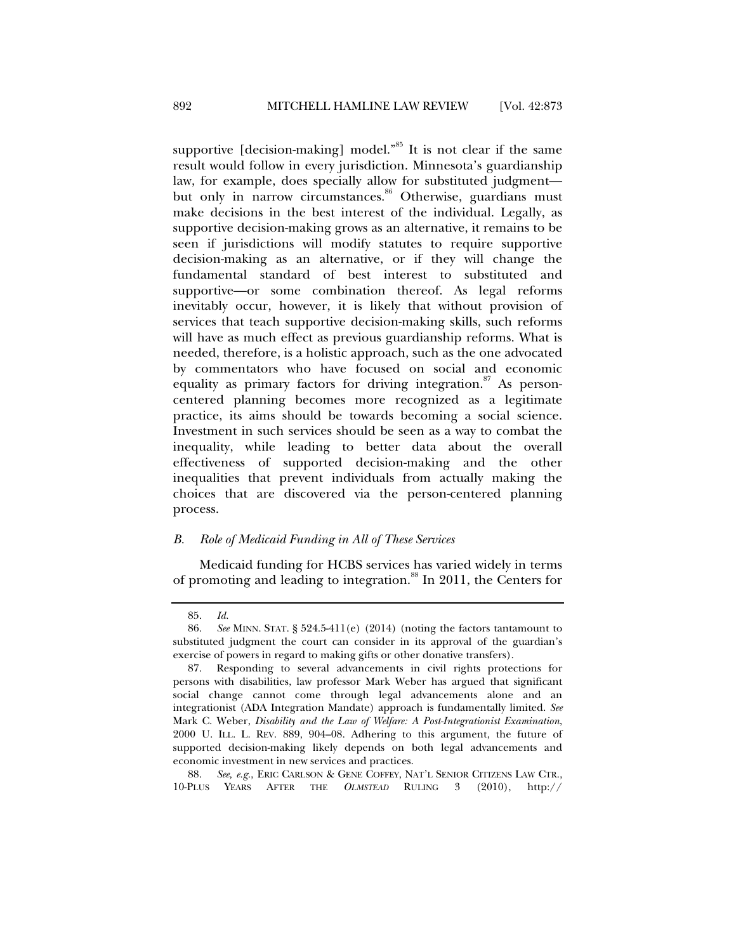supportive [decision-making] model."<sup>85</sup> It is not clear if the same result would follow in every jurisdiction. Minnesota's guardianship law, for example, does specially allow for substituted judgment but only in narrow circumstances.<sup>86</sup> Otherwise, guardians must make decisions in the best interest of the individual. Legally, as supportive decision-making grows as an alternative, it remains to be seen if jurisdictions will modify statutes to require supportive decision-making as an alternative, or if they will change the fundamental standard of best interest to substituted and supportive—or some combination thereof. As legal reforms inevitably occur, however, it is likely that without provision of services that teach supportive decision-making skills, such reforms will have as much effect as previous guardianship reforms. What is needed, therefore, is a holistic approach, such as the one advocated by commentators who have focused on social and economic equality as primary factors for driving integration.<sup>87</sup> As personcentered planning becomes more recognized as a legitimate practice, its aims should be towards becoming a social science. Investment in such services should be seen as a way to combat the inequality, while leading to better data about the overall effectiveness of supported decision-making and the other inequalities that prevent individuals from actually making the choices that are discovered via the person-centered planning process.

#### *B. Role of Medicaid Funding in All of These Services*

Medicaid funding for HCBS services has varied widely in terms of promoting and leading to integration.<sup>88</sup> In 2011, the Centers for

 <sup>85.</sup> *Id.*

 <sup>86.</sup> *See* MINN. STAT. § 524.5-411(e) (2014) (noting the factors tantamount to substituted judgment the court can consider in its approval of the guardian's exercise of powers in regard to making gifts or other donative transfers).

 <sup>87.</sup> Responding to several advancements in civil rights protections for persons with disabilities, law professor Mark Weber has argued that significant social change cannot come through legal advancements alone and an integrationist (ADA Integration Mandate) approach is fundamentally limited. *See* Mark C. Weber, *Disability and the Law of Welfare: A Post-Integrationist Examination*, 2000 U. ILL. L. REV. 889, 904–08. Adhering to this argument, the future of supported decision-making likely depends on both legal advancements and economic investment in new services and practices.

 <sup>88.</sup> *See, e.g.*, ERIC CARLSON & GENE COFFEY, NAT'L SENIOR CITIZENS LAW CTR., 10-PLUS YEARS AFTER THE *OLMSTEAD* RULING 3 (2010), http://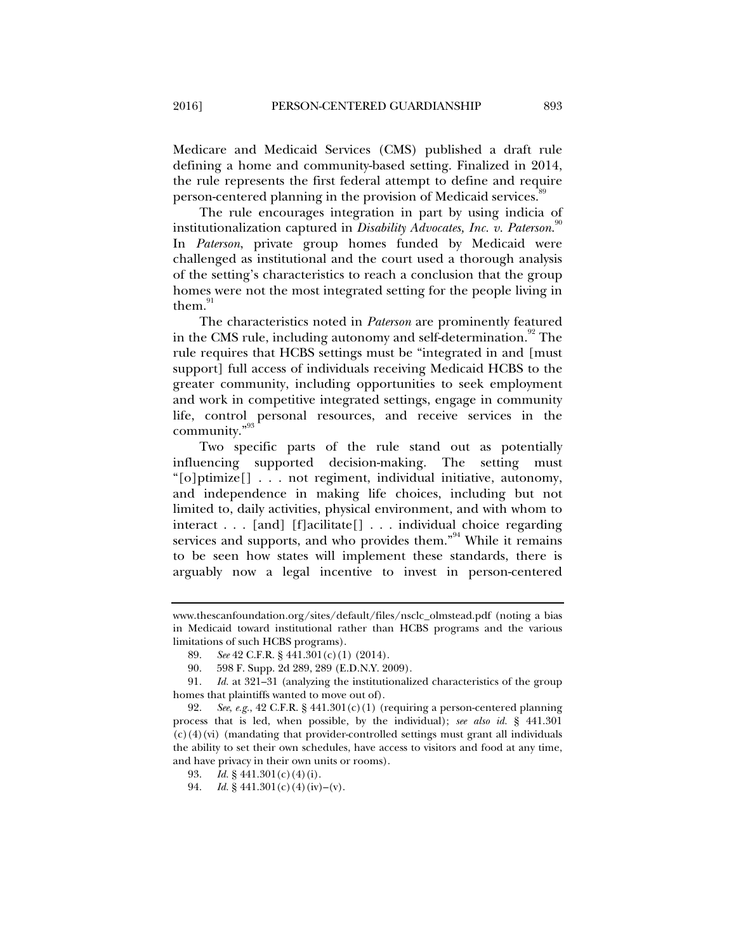Medicare and Medicaid Services (CMS) published a draft rule defining a home and community-based setting. Finalized in 2014, the rule represents the first federal attempt to define and require person-centered planning in the provision of Medicaid services.<sup>89</sup>

The rule encourages integration in part by using indicia of institutionalization captured in *Disability Advocates, Inc. v. Paterson*. 90 In *Paterson*, private group homes funded by Medicaid were challenged as institutional and the court used a thorough analysis of the setting's characteristics to reach a conclusion that the group homes were not the most integrated setting for the people living in them. $91$ 

The characteristics noted in *Paterson* are prominently featured in the CMS rule, including autonomy and self-determination.<sup>92</sup> The rule requires that HCBS settings must be "integrated in and [must support] full access of individuals receiving Medicaid HCBS to the greater community, including opportunities to seek employment and work in competitive integrated settings, engage in community life, control personal resources, and receive services in the community."<sup>93</sup>

Two specific parts of the rule stand out as potentially influencing supported decision-making. The setting must "[o]ptimize[] . . . not regiment, individual initiative, autonomy, and independence in making life choices, including but not limited to, daily activities, physical environment, and with whom to interact . . . [and] [f]acilitate[] . . . individual choice regarding services and supports, and who provides them."<sup>94</sup> While it remains to be seen how states will implement these standards, there is arguably now a legal incentive to invest in person-centered

www.thescanfoundation.org/sites/default/files/nsclc\_olmstead.pdf (noting a bias in Medicaid toward institutional rather than HCBS programs and the various limitations of such HCBS programs).

 <sup>89.</sup> *See* 42 C.F.R. § 441.301(c)(1) (2014).

 <sup>90. 598</sup> F. Supp. 2d 289, 289 (E.D.N.Y. 2009).

 <sup>91.</sup> *Id.* at 321–31 (analyzing the institutionalized characteristics of the group homes that plaintiffs wanted to move out of).

 <sup>92.</sup> *See*, *e.g.*, 42 C.F.R. § 441.301(c)(1) (requiring a person-centered planning process that is led, when possible, by the individual); *see also id.* § 441.301  $(c)$  (4)(vi) (mandating that provider-controlled settings must grant all individuals the ability to set their own schedules, have access to visitors and food at any time, and have privacy in their own units or rooms).

 <sup>93.</sup> *Id.* § 441.301(c)(4)(i).

 <sup>94.</sup> *Id.* § 441.301(c)(4)(iv)–(v).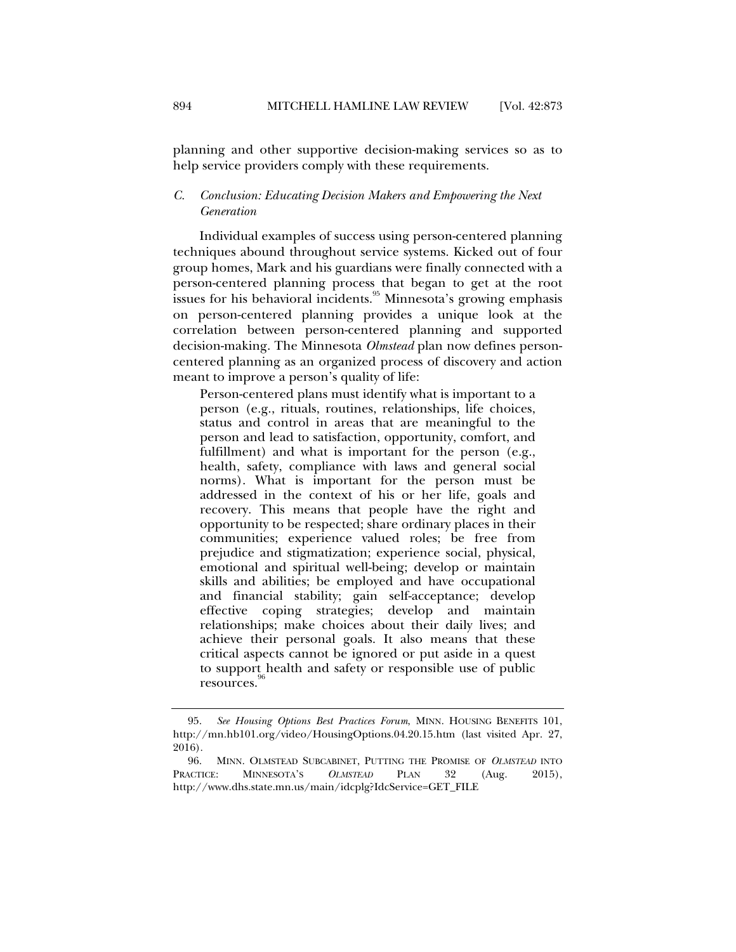planning and other supportive decision-making services so as to help service providers comply with these requirements.

#### *C. Conclusion: Educating Decision Makers and Empowering the Next Generation*

Individual examples of success using person-centered planning techniques abound throughout service systems. Kicked out of four group homes, Mark and his guardians were finally connected with a person-centered planning process that began to get at the root issues for his behavioral incidents.<sup>95</sup> Minnesota's growing emphasis on person-centered planning provides a unique look at the correlation between person-centered planning and supported decision-making. The Minnesota *Olmstead* plan now defines personcentered planning as an organized process of discovery and action meant to improve a person's quality of life:

Person-centered plans must identify what is important to a person (e.g., rituals, routines, relationships, life choices, status and control in areas that are meaningful to the person and lead to satisfaction, opportunity, comfort, and fulfillment) and what is important for the person (e.g., health, safety, compliance with laws and general social norms). What is important for the person must be addressed in the context of his or her life, goals and recovery. This means that people have the right and opportunity to be respected; share ordinary places in their communities; experience valued roles; be free from prejudice and stigmatization; experience social, physical, emotional and spiritual well-being; develop or maintain skills and abilities; be employed and have occupational and financial stability; gain self-acceptance; develop effective coping strategies; develop and maintain relationships; make choices about their daily lives; and achieve their personal goals. It also means that these critical aspects cannot be ignored or put aside in a quest to support health and safety or responsible use of public resources.

 <sup>95.</sup> *See Housing Options Best Practices Forum*, MINN. HOUSING BENEFITS 101, http://mn.hb101.org/video/HousingOptions.04.20.15.htm (last visited Apr. 27, 2016).

 <sup>96.</sup> MINN. OLMSTEAD SUBCABINET, PUTTING THE PROMISE OF *OLMSTEAD* INTO PRACTICE: MINNESOTA'S *OLMSTEAD* PLAN 32 (Aug. 2015), http://www.dhs.state.mn.us/main/idcplg?IdcService=GET\_FILE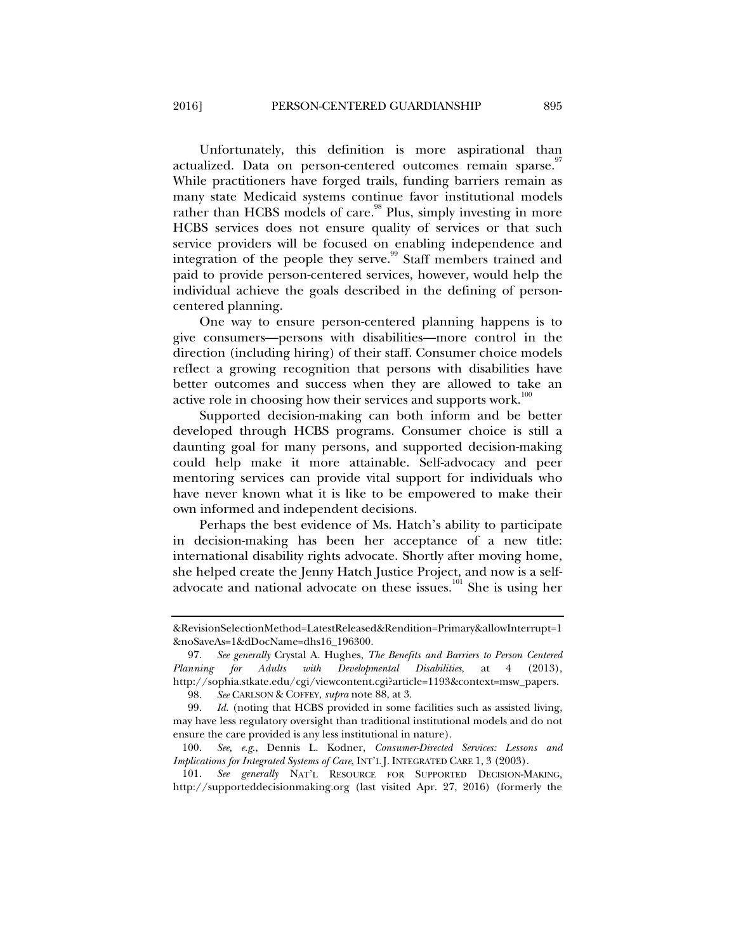Unfortunately, this definition is more aspirational than actualized. Data on person-centered outcomes remain sparse. While practitioners have forged trails, funding barriers remain as many state Medicaid systems continue favor institutional models rather than HCBS models of care.<sup>98</sup> Plus, simply investing in more HCBS services does not ensure quality of services or that such service providers will be focused on enabling independence and integration of the people they serve.<sup>99</sup> Staff members trained and paid to provide person-centered services, however, would help the individual achieve the goals described in the defining of personcentered planning.

One way to ensure person-centered planning happens is to give consumers—persons with disabilities—more control in the direction (including hiring) of their staff. Consumer choice models reflect a growing recognition that persons with disabilities have better outcomes and success when they are allowed to take an active role in choosing how their services and supports work.<sup>100</sup>

Supported decision-making can both inform and be better developed through HCBS programs. Consumer choice is still a daunting goal for many persons, and supported decision-making could help make it more attainable. Self-advocacy and peer mentoring services can provide vital support for individuals who have never known what it is like to be empowered to make their own informed and independent decisions.

Perhaps the best evidence of Ms. Hatch's ability to participate in decision-making has been her acceptance of a new title: international disability rights advocate. Shortly after moving home, she helped create the Jenny Hatch Justice Project, and now is a selfadvocate and national advocate on these issues.<sup>101</sup> She is using her

98. *See* CARLSON & COFFEY, *supra* note 88, at 3.

 101. *See generally* NAT'L RESOURCE FOR SUPPORTED DECISION-MAKING, http://supporteddecisionmaking.org (last visited Apr. 27, 2016) (formerly the

<sup>&</sup>amp;RevisionSelectionMethod=LatestReleased&Rendition=Primary&allowInterrupt=1 &noSaveAs=1&dDocName=dhs16\_196300.

 <sup>97.</sup> *See generally* Crystal A. Hughes, *The Benefits and Barriers to Person Centered Planning for Adults with Developmental Disabilities*, at 4 (2013), http://sophia.stkate.edu/cgi/viewcontent.cgi?article=1193&context=msw\_papers.

 <sup>99.</sup> *Id.* (noting that HCBS provided in some facilities such as assisted living, may have less regulatory oversight than traditional institutional models and do not ensure the care provided is any less institutional in nature).

 <sup>100.</sup> *See, e.g*., Dennis L. Kodner, *Consumer-Directed Services: Lessons and Implications for Integrated Systems of Care*, INT'L J. INTEGRATED CARE 1, 3 (2003).